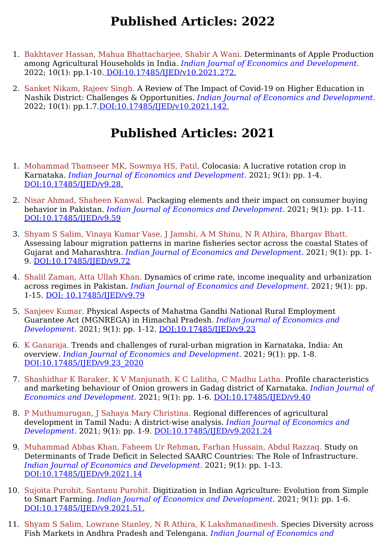- 1. Bakhtaver Hassan, Mahua Bhattacharjee, Shabir A Wani. Determinants of Apple Production among Agricultural Households in India. *Indian Journal of Economics and Development.* 2022; 10(1): pp.1-10. [DOI:10.17485/IJED/v10.2021.272.](https://ijed.in/articles/determinants-of-apple-production-among-agricultural-households-in-india)
- 2. Sanket Nikam, Rajeev Singh. A Review of The Impact of Covid-19 on Higher Education in Nashik District: Challenges & Opportunities. *Indian Journal of Economics and Development.* 2022; 10(1): pp.1.7[.DOI:10.17485/IJED/v10.2021.142.](https://ijed.in/articles/a-review-of-the-impact-of-covid-19-on-higher-education-in-nashik-district-challenges-opportunities)

- 1. Mohammad Thamseer MK, Sowmya HS, Patil. Colocasia: A lucrative rotation crop in Karnataka. *Indian Journal of Economics and Development.* 2021; 9(1): pp. 1-4. [DOI:10.17485/IJED/v9.28.](https://ijed.in/articles/colocasia-a-lucrative-rotation-crop-in-karnataka)
- 2. Nisar Ahmad, Shaheen Kanwal. Packaging elements and their impact on consumer buying behavior in Pakistan. *Indian Journal of Economics and Development.* 2021; 9(1): pp. 1-11. [DOI:10.17485/IJED/v9.59](https://ijed.in/articles/packaging-elements-and-their-impact-on-consumer-buying-behavior-in-pakistan)
- 3. Shyam S Salim, Vinaya Kumar Vase, J Jamshi, A M Shinu, N R Athira, Bhargav Bhatt. Assessing labour migration patterns in marine fisheries sector across the coastal States of Gujarat and Maharashtra. *Indian Journal of Economics and Development.* 2021; 9(1): pp. 1- 9. [DOI:10.17485/IJED/v9.72](https://ijed.in/articles/assessing-labour-migration-patterns-in-marine-fisheries-sector-across-the-coastal-states-of-gujarat-and-maharashtra)
- 4. Shalil Zaman, Atta Ullah Khan. Dynamics of crime rate, income inequality and urbanization across regimes in Pakistan. *Indian Journal of Economics and Development.* 2021; 9(1): pp. 1-15. DOI: [10.17485/IJED/v9.79](https://ijed.in/articles/dynamics-of-crime-rate-income-inequality-and-urbanization-across-regimes-in-pakistan)
- 5. Sanjeev Kumar. Physical Aspects of Mahatma Gandhi National Rural Employment Guarantee Act (MGNREGA) in Himachal Pradesh. *Indian Journal of Economics and Development.* 2021; 9(1): pp. 1-12. [DOI:10.17485/IJED/v9.23](https://ijed.in/articles/physical-aspects-of-mahatma-gandhi-national-rural-employment-guarantee-act-mgnrega-in-himachal-pradesh)
- 6. K Ganaraja. Trends and challenges of rural-urban migration in Karnataka, India: An overview. *Indian Journal of Economics and Development.* 2021; 9(1): pp. 1-8. [DOI:10.17485/IJED/v9.23\\_2020](https://ijed.in/articles/trends-and-challenges-of-rural-urban-migration-in-karnataka-india-an-overview)
- 7. Shashidhar K Baraker, K V Manjunath, K C Lalitha, C Madhu Latha. Profile characteristics and marketing behaviour of Onion growers in Gadag district of Karnataka. *Indian Journal of Economics and Development.* 2021; 9(1): pp. 1-6. [DOI:10.17485/IJED/v9.40](https://ijed.in/articles/profile-characteristics-and-marketing-behaviour-of-onion-growers-in-gadag-district-of-karnataka)
- 8. P Muthumurugan, J Sahaya Mary Christina. Regional differences of agricultural development in Tamil Nadu: A district-wise analysis. *Indian Journal of Economics and Development.* 2021; 9(1): pp. 1-9. [DOI:10.17485/IJED/v9.2021.24](https://ijed.in/articles/regional-differences-of-agricultural-development-in-tamil-nadu-a-district-wise-analysis)
- 9. Muhammad Abbas Khan, Faheem Ur Rehman, Farhan Hussain, Abdul Razzaq. Study on Determinants of Trade Deficit in Selected SAARC Countries: The Role of Infrastructure. *Indian Journal of Economics and Development.* 2021; 9(1): pp. 1-13. [DOI:10.17485/IJED/v9.2021.14](https://ijed.in/articles/study-on-determinants-of-trade-deficit-in-selected-saarc-countries-the-role-of-infrastructure)
- 10. Sujoita Purohit, Santanu Purohit. Digitization in Indian Agriculture: Evolution from Simple to Smart Farming. *Indian Journal of Economics and Development.* 2021; 9(1): pp. 1-6. [DOI:10.17485/IJED/v9.2021.51.](https://ijed.in/articles/digitization-in-indian-agriculture-evolution-from-simple-to-smart-farming)
- 11. Shyam S Salim, Lowrane Stanley, N R Athira, K Lakshmanadinesh. Species Diversity across Fish Markets in Andhra Pradesh and Telengana. *Indian Journal of Economics and*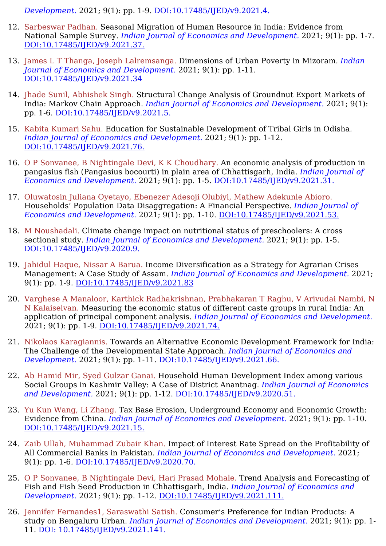*Development.* 2021; 9(1): pp. 1-9. [DOI:10.17485/IJED/v9.2021.4.](https://ijed.in/articles/species-diversity-across-fish-markets-in-andhra-pradesh-and-telengana)

- 12. Sarbeswar Padhan. Seasonal Migration of Human Resource in India: Evidence from National Sample Survey. *Indian Journal of Economics and Development.* 2021; 9(1): pp. 1-7. [DOI:10.17485/IJED/v9.2021.37.](https://ijed.in/articles/seasonal-migration-of-human-resource-in-india-evidence-from-national-sample-survey)
- 13. James L T Thanga, Joseph Lalremsanga. Dimensions of Urban Poverty in Mizoram. *Indian Journal of Economics and Development.* 2021; 9(1): pp. 1-11. [DOI:10.17485/IJED/v9.2021.34](https://ijed.in/articles/dimensions-of-urban-poverty-in-mizoram)
- 14. Jhade Sunil, Abhishek Singh. Structural Change Analysis of Groundnut Export Markets of India: Markov Chain Approach. *Indian Journal of Economics and Development.* 2021; 9(1): pp. 1-6. [DOI:10.17485/IJED/v9.2021.5.](https://ijed.in/articles/structural-change-analysis-of-groundnut-export-markets-of-india-markov-chain-approach)
- 15. Kabita Kumari Sahu. Education for Sustainable Development of Tribal Girls in Odisha. *Indian Journal of Economics and Development.* 2021; 9(1): pp. 1-12. [DOI:10.17485/IJED/v9.2021.76.](https://ijed.in/articles/education-for-sustainable-development-of-tribal-girls-in-odisha)
- 16. O P Sonvanee, B Nightingale Devi, K K Choudhary. An economic analysis of production in pangasius fish (Pangasius bocourti) in plain area of Chhattisgarh, India. *Indian Journal of Economics and Development.* 2021; 9(1): pp. 1-5. [DOI:10.17485/IJED/v9.2021.31.](https://ijed.in/articles/an-economic-analysis-of-production-in-pangasius-fish-pangasius-bocourti-in-plain-area-of-chhattisgarh-india)
- 17. Oluwatosin Juliana Oyetayo, Ebenezer Adesoji Olubiyi, Mathew Adekunle Abioro. Households' Population Data Disaggregation: A Financial Perspective. *Indian Journal of Economics and Development.* 2021; 9(1): pp. 1-10. [DOI:10.17485/IJED/v9.2021.53.](https://ijed.in/articles/households-population-data-disaggregation-a-financial-perspective)
- 18. M Noushadali. Climate change impact on nutritional status of preschoolers: A cross sectional study. *Indian Journal of Economics and Development.* 2021; 9(1): pp. 1-5. [DOI:10.17485/IJED/v9.2020.9.](https://ijed.in/articles/climate-change-impact-on-nutritional-status-of-preschoolers-a-cross-sectional-study)
- 19. Jahidul Haque, Nissar A Barua. Income Diversification as a Strategy for Agrarian Crises Management: A Case Study of Assam. *Indian Journal of Economics and Development.* 2021; 9(1): pp. 1-9. [DOI:10.17485/IJED/v9.2021.83](https://ijed.in/articles/income-diversification-as-a-strategy-for-agrarian-crises-management-a-case-study-of-assam)
- 20. Varghese A Manaloor, Karthick Radhakrishnan, Prabhakaran T Raghu, V Arivudai Nambi, N N Kalaiselvan. Measuring the economic status of different caste groups in rural India: An application of principal component analysis. *Indian Journal of Economics and Development.* 2021; 9(1): pp. 1-9. [DOI:10.17485/IJED/v9.2021.74.](https://ijed.in/articles/measuring-the-economic-status-of-different-caste-groups-in-rural-india-an-application-of-principal-component-analysis)
- 21. Nikolaos Karagiannis. Towards an Alternative Economic Development Framework for India: The Challenge of the Developmental State Approach. *Indian Journal of Economics and Development.* 2021; 9(1): pp. 1-11. [DOI:10.17485/IJED/v9.2021.66.](https://ijed.in/articles/towards-an-alternative-economic-development-framework-for-india-the-challenge-of-the-developmental-state-approach)
- 22. Ab Hamid Mir, Syed Gulzar Ganai. Household Human Development Index among various Social Groups in Kashmir Valley: A Case of District Anantnag. *Indian Journal of Economics and Development.* 2021; 9(1): pp. 1-12. [DOI:10.17485/IJED/v9.2020.51.](https://ijed.in/articles/household-human-development-index-among-various-social-groups-in-kashmir-valley-a-case-of-district-anantnag)
- 23. Yu Kun Wang, Li Zhang. Tax Base Erosion, Underground Economy and Economic Growth: Evidence from China. *Indian Journal of Economics and Development.* 2021; 9(1): pp. 1-10. [DOI:10.17485/IJED/v9.2021.15.](https://ijed.in/articles/tax-base-erosion-underground-economy-and-economic-growth-evidence-from-china)
- 24. Zaib Ullah, Muhammad Zubair Khan. Impact of Interest Rate Spread on the Profitability of All Commercial Banks in Pakistan. *Indian Journal of Economics and Development.* 2021; 9(1): pp. 1-6. [DOI:10.17485/IJED/v9.2020.70.](https://ijed.in/articles/impact-of-interest-rate-spread-on-the-profitability-of-all-commercial-banks-in-pakistan)
- 25. O P Sonvanee, B Nightingale Devi, Hari Prasad Mohale. Trend Analysis and Forecasting of Fish and Fish Seed Production in Chhattisgarh, India. *Indian Journal of Economics and Development.* 2021; 9(1): pp. 1-12. [DOI:10.17485/IJED/v9.2021.111.](https://ijed.in/articles/trend-analysis-and-forecasting-of-fish-and-fish-seed-production-in-chhattisgarh-india)
- 26. Jennifer Fernandes1, Saraswathi Satish. Consumer's Preference for Indian Products: A study on Bengaluru Urban. *Indian Journal of Economics and Development.* 2021; 9(1): pp. 1- 11. DOI: [10.17485/IJED/v9.2021.141.](https://ijed.in/articles/consumers-preference-for-indian-products-a-study-on-bengaluru-urban)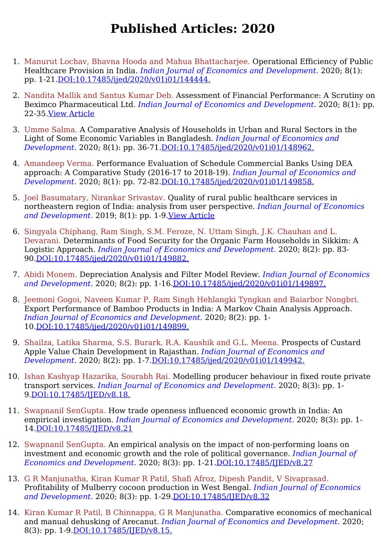- 1. Manurut Lochav, Bhavna Hooda and Mahua Bhattacharjee. Operational Efficiency of Public Healthcare Provision in India. *Indian Journal of Economics and Development.* 2020; 8(1): pp. 1-21[.DOI:10.17485/ijed/2020/v01i01/144444.](https://ijed.in/articles/operational-efficiency-of-public-healthcare-provision-in-india)
- 2. Nandita Mallik and Santus Kumar Deb. Assessment of Financial Performance: A Scrutiny on Beximco Pharmaceutical Ltd. *Indian Journal of Economics and Development.* 2020; 8(1): pp. 22-35.View [Article](https://ijed.in/articles/assessment-of-financial-performance-a-scrutiny-on-beximco-pharmaceutical-ltd)
- 3. Umme Salma. A Comparative Analysis of Households in Urban and Rural Sectors in the Light of Some Economic Variables in Bangladesh. *Indian Journal of Economics and Development.* 2020; 8(1): pp. 36-71.[DOI:10.17485/ijed/2020/v01i01/148962.](https://ijed.in/articles/a-comparative-analysis-of-households-in-urban-and-rural-sectors-in-the-light-of-some-economic-variables-in-bangladesh)
- 4. Amandeep Verma. Performance Evaluation of Schedule Commercial Banks Using DEA approach: A Comparative Study (2016-17 to 2018-19). *Indian Journal of Economics and Development.* 2020; 8(1): pp. 72-82.[DOI:10.17485/ijed/2020/v01i01/149858.](https://ijed.in/articles/performance-evaluation-of-schedule-commercial-banks-using-dea-approach-a-comparative-study-2016-17-to-2018-19)
- 5. Joel Basumatary, Nirankar Srivastav. Quality of rural public healthcare services in northeastern region of India: analysis from user perspective. *Indian Journal of Economics and Development.* 2019; 8(1): pp. 1-9.View [Article](https://ijed.in/articles/quality-of-rural-public-healthcare-services-in-northeastern-region-of-india-analysis-from-user-perspective)
- 6. Singyala Chiphang, Ram Singh, S.M. Feroze, N. Uttam Singh, J.K. Chauhan and L. Devarani. Determinants of Food Security for the Organic Farm Households in Sikkim: A Logistic Approach. *Indian Journal of Economics and Development.* 2020; 8(2): pp. 83- 90.[DOI:10.17485/ijed/2020/v01i01/149882.](https://ijed.in/articles/determinants-of-food-security-for-the-organic-farm-households-in-sikkim-a-logistic-approach)
- 7. Abidi Monem. Depreciation Analysis and Filter Model Review. *Indian Journal of Economics and Development.* 2020; 8(2): pp. 1-16.[DOI:10.17485/ijed/2020/v01i01/149897.](https://ijed.in/articles/depreciation-analysis-and-filter-model-review)
- 8. Jeemoni Gogoi, Naveen Kumar P, Ram Singh Hehlangki Tyngkan and Baiarbor Nongbri. Export Performance of Bamboo Products in India: A Markov Chain Analysis Approach. *Indian Journal of Economics and Development.* 2020; 8(2): pp. 1- 10.[DOI:10.17485/ijed/2020/v01i01/149899.](https://ijed.in/articles/export-performance-of-bamboo-products-in-india-a-markov-chain-analysis-approach)
- 9. Shailza, Latika Sharma, S.S. Burark, R.A. Kaushik and G.L. Meena. Prospects of Custard Apple Value Chain Development in Rajasthan. *Indian Journal of Economics and Development.* 2020; 8(2): pp. 1-7[.DOI:10.17485/ijed/2020/v01i01/149942.](https://ijed.in/articles/prospects-of-custard-apple-value-chain-development-in-rajasthan)
- 10. Ishan Kashyap Hazarika, Sourabh Rai. Modelling producer behaviour in fixed route private transport services. *Indian Journal of Economics and Development.* 2020; 8(3): pp. 1- 9[.DOI:10.17485/IJED/v8.18.](https://ijed.in/articles/modelling-producer-behaviour-in-fixed-route-private-transport-services)
- 11. Swapnanil SenGupta. How trade openness influenced economic growth in India: An empirical investigation. *Indian Journal of Economics and Development.* 2020; 8(3): pp. 1- 14.[DOI:10.17485/IJED/v8.21](https://ijed.in/articles/how-trade-openness-influenced-economic-growth-in-india-an-empirical-investigation)
- 12. Swapnanil SenGupta. An empirical analysis on the impact of non-performing loans on investment and economic growth and the role of political governance. *Indian Journal of Economics and Development.* 2020; 8(3): pp. 1-21.[DOI:10.17485/IJED/v8.27](https://ijed.in/articles/an-empirical-analysis-on-the-impact-of-non-performing-loans-on-investment-and-economic-growth-and-the-role-of-political-governance)
- 13. G R Manjunatha, Kiran Kumar R Patil, Shafi Afroz, Dipesh Pandit, V Sivaprasad. Profitability of Mulberry cocoon production in West Bengal. *Indian Journal of Economics and Development.* 2020; 8(3): pp. 1-29.[DOI:10.17485/IJED/v8.32](https://ijed.in/articles/profitability-of-mulberry-cocoon-production-in-west-bengal)
- 14. Kiran Kumar R Patil, B Chinnappa, G R Manjunatha. Comparative economics of mechanical and manual dehusking of Arecanut. *Indian Journal of Economics and Development.* 2020; 8(3): pp. 1-9. DOI: 10.17485/IJED/v8.15.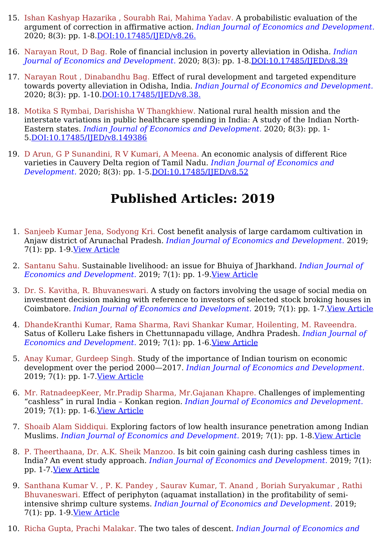- 15. Ishan Kashyap Hazarika , Sourabh Rai, Mahima Yadav. A probabilistic evaluation of the argument of correction in affirmative action. *Indian Journal of Economics and Development.* 2020; 8(3): pp. 1-8.[DOI:10.17485/IJED/v8.26.](https://ijed.in/articles/a-probabilistic-evaluation-of-the-argument-of-correction-in-affirmative-action)
- 16. Narayan Rout, D Bag. Role of financial inclusion in poverty alleviation in Odisha. *Indian Journal of Economics and Development.* 2020; 8(3): pp. 1-8[.DOI:10.17485/IJED/v8.39](https://ijed.in/articles/role-of-financial-inclusion-in-poverty-alleviation-in-odisha)
- 17. Narayan Rout , Dinabandhu Bag. Effect of rural development and targeted expenditure towards poverty alleviation in Odisha, India. *Indian Journal of Economics and Development.* 2020; 8(3): pp. 1-10. DOI: 10.17485/IJED/v8.38.
- 18. Motika S Rymbai, Darishisha W Thangkhiew. National rural health mission and the interstate variations in public healthcare spending in India: A study of the Indian North-Eastern states. *Indian Journal of Economics and Development.* 2020; 8(3): pp. 1- 5[.DOI:10.17485/IJED/v8.149386](https://ijed.in/articles/national-rural-health-mission-and-the-interstate-variations-in-public-healthcare-spending-in-india-a-study-of-the-indian-north-eastern-states)
- 19. D Arun, G P Sunandini, R V Kumari, A Meena. An economic analysis of different Rice varieties in Cauvery Delta region of Tamil Nadu. *Indian Journal of Economics and Development.* 2020; 8(3): pp. 1-5[.DOI:10.17485/IJED/v8.52](https://ijed.in/articles/an-economic-analysis-of-different-rice-varieties-in-cauvery-delta-region-of-tamil-nadu)

- 1. Sanjeeb Kumar Jena, Sodyong Kri. Cost benefit analysis of large cardamom cultivation in Anjaw district of Arunachal Pradesh. *Indian Journal of Economics and Development.* 2019; 7(1): pp. 1-9.View [Article](https://ijed.in/articles/cost-benefit-analysis-of-large-cardamom-cultivation-in-anjaw-district-of-arunachal-pradesh)
- 2. Santanu Sahu. Sustainable livelihood: an issue for Bhuiya of Jharkhand. *Indian Journal of Economics and Development.* 2019; 7(1): pp. 1-9.View [Article](https://ijed.in/articles/sustainable-livelihood-an-issue-for-bhuiya-of-jharkhand)
- 3. Dr. S. Kavitha, R. Bhuvaneswari. A study on factors involving the usage of social media on investment decision making with reference to investors of selected stock broking houses in Coimbatore. *Indian Journal of Economics and Development.* 2019; 7(1): pp. 1-7.View [Article](https://ijed.in/articles/a-study-on-factors-involving-the-usage-of-social-media-on-investment-decision-making-with-reference-to-investors-of-selected-stock-broking-houses-in-coimbatore)
- 4. DhandeKranthi Kumar, Rama Sharma, Ravi Shankar Kumar, Hoilenting, M. Raveendra. Satus of Kolleru Lake fishers in Chettunnapadu village, Andhra Pradesh. *Indian Journal of Economics and Development.* 2019; 7(1): pp. 1-6.View [Article](https://ijed.in/articles/status-of-kolleru-lake-fishers-in-chettunnapadu-village-andhra-pradesh)
- 5. Anay Kumar, Gurdeep Singh. Study of the importance of Indian tourism on economic development over the period 2000—2017. *Indian Journal of Economics and Development.* 2019; 7(1): pp. 1-7.View [Article](https://ijed.in/articles/study-of-the-importance-of-indian-tourism-on-economic-development-over-the-period-20002017)
- 6. Mr. RatnadeepKeer, Mr.Pradip Sharma, Mr.Gajanan Khapre. Challenges of implementing "cashless" in rural India – Konkan region. *Indian Journal of Economics and Development.* 2019; 7(1): pp. 1-6.View [Article](https://ijed.in/articles/challenges-of-implementing-cashless-in-rural-india-konkan-region)
- 7. Shoaib Alam Siddiqui. Exploring factors of low health insurance penetration among Indian Muslims. *Indian Journal of Economics and Development.* 2019; 7(1): pp. 1-8.View [Article](https://ijed.in/articles/exploring-factors-of-low-health-insurance-penetration-among-indian-muslims)
- 8. P. Theerthaana, Dr. A.K. Sheik Manzoo. Is bit coin gaining cash during cashless times in India? An event study approach. *Indian Journal of Economics and Development.* 2019; 7(1): pp. 1-7.View [Article](https://ijed.in/articles/is-bit-coin-gaining-cash-during-cashless-times-in-india-an-event-study-approach)
- 9. Santhana Kumar V. , P. K. Pandey , Saurav Kumar, T. Anand , Boriah Suryakumar , Rathi Bhuvaneswari. Effect of periphyton (aquamat installation) in the profitability of semiintensive shrimp culture systems. *Indian Journal of Economics and Development.* 2019; 7(1): pp. 1-9.View [Article](https://ijed.in/articles/effect-of-periphyton-aquamat-installation-in-the-profitability-of-semi-intensive-shrimp-culture-systems)
- 10. Richa Gupta, Prachi Malakar. The two tales of descent. *Indian Journal of Economics and*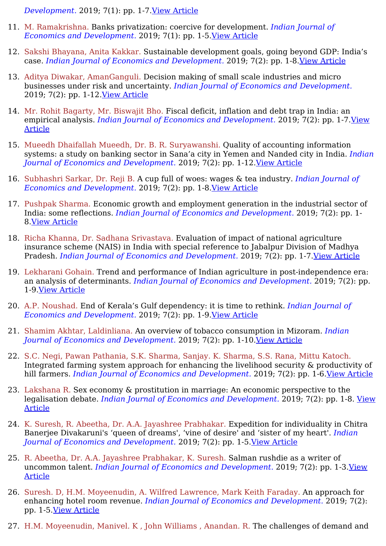*Development.* 2019; 7(1): pp. 1-7.View [Article](https://ijed.in/articles/the-two-tales-of-descent)

- 11. M. Ramakrishna. Banks privatization: coercive for development. *Indian Journal of Economics and Development.* 2019; 7(1): pp. 1-5.View [Article](https://ijed.in/articles/banks-privatization-coercive-for-development)
- 12. Sakshi Bhayana, Anita Kakkar. Sustainable development goals, going beyond GDP: India's case. *Indian Journal of Economics and Development.* 2019; 7(2): pp. 1-8.View [Article](https://ijed.in/articles/sustainable-development-goals-going-beyond-gdp-indias-case)
- 13. Aditya Diwakar, AmanGanguli. Decision making of small scale industries and micro businesses under risk and uncertainty. *Indian Journal of Economics and Development.* 2019; 7(2): pp. 1-12.View [Article](https://ijed.in/articles/decision-making-of-small-scale-industries-and-micro-businesses-under-risk-and-uncertainty)
- 14. Mr. Rohit Bagarty, Mr. Biswajit Bho. Fiscal deficit, inflation and debt trap in India: an empirical analysis. *Indian Journal of Economics and [Development.](https://ijed.in/articles/fiscal-deficit-inflation-and-debt-trap-in-india-an-empirical-analysis)* 2019; 7(2): pp. 1-7.View Article
- 15. Mueedh Dhaifallah Mueedh, Dr. B. R. Suryawanshi. Quality of accounting information systems: a study on banking sector in Sana'a city in Yemen and Nanded city in India. *Indian Journal of Economics and Development.* 2019; 7(2): pp. 1-12.View [Article](https://ijed.in/articles/quality-of-accounting-information-systems-a-study-on-banking-sector-in-sanaa-city-in-yemen-and-nanded-city-in-india)
- 16. Subhashri Sarkar, Dr. Reji B. A cup full of woes: wages & tea industry. *Indian Journal of Economics and Development.* 2019; 7(2): pp. 1-8.View [Article](https://ijed.in/articles/a-cup-full-of-woes-wages-tea-industry)
- 17. Pushpak Sharma. Economic growth and employment generation in the industrial sector of India: some reflections. *Indian Journal of Economics and Development.* 2019; 7(2): pp. 1- 8.View [Article](https://ijed.in/articles/economic-growth-and-employment-generation-in-the-industrial-sector-of-india-some-reflections)
- 18. Richa Khanna, Dr. Sadhana Srivastava. Evaluation of impact of national agriculture insurance scheme (NAIS) in India with special reference to Jabalpur Division of Madhya Pradesh. *Indian Journal of Economics and Development.* 2019; 7(2): pp. 1-7.View [Article](https://ijed.in/articles/evaluation-of-impact-of-national-agriculture-insurance-scheme-nais-in-india-with-special-reference-to-jabalpur-division-of-madhya-pradesh)
- 19. Lekharani Gohain. Trend and performance of Indian agriculture in post-independence era: an analysis of determinants. *Indian Journal of Economics and Development.* 2019; 7(2): pp. 1-9.View [Article](https://ijed.in/articles/trend-and-performance-of-indian-agriculture-in-post-independence-era-an-analysis-of-determinants)
- 20. A.P. Noushad. End of Kerala's Gulf dependency: it is time to rethink. *Indian Journal of Economics and Development.* 2019; 7(2): pp. 1-9.View [Article](https://ijed.in/articles/end-of-keralas-gulf-dependency-it-is-time-to-rethink)
- 21. Shamim Akhtar, Laldinliana. An overview of tobacco consumption in Mizoram. *Indian Journal of Economics and Development.* 2019; 7(2): pp. 1-10.View [Article](https://ijed.in/articles/an-overview-of-tobacco-consumption-in-mizoram)
- 22. S.C. Negi, Pawan Pathania, S.K. Sharma, Sanjay. K. Sharma, S.S. Rana, Mittu Katoch. Integrated farming system approach for enhancing the livelihood security & productivity of hill farmers. *Indian Journal of Economics and Development.* 2019; 7(2): pp. 1-6.View [Article](https://ijed.in/articles/integrated-farming-system-approach-for-enhancing-the-livelihood-security-productivity-of-hill-farmers)
- 23. Lakshana R. Sex economy & prostitution in marriage: An economic perspective to the legalisation debate. *Indian Journal of Economics and [Development.](https://ijed.in/articles/sex-economy-prostitution-in-marriage-an-economic-perspective-to-the-legalisation-debate)* 2019; 7(2): pp. 1-8. View Article
- 24. K. Suresh, R. Abeetha, Dr. A.A. Jayashree Prabhakar. Expedition for individuality in Chitra Banerjee Divakaruni's 'queen of dreams', 'vine of desire' and 'sister of my heart'. *Indian Journal of Economics and Development.* 2019; 7(2): pp. 1-5.View [Article](https://ijed.in/articles/expedition-for-individuality-in-chitra-banerjee-divakarunis-queen-of-dreams-vine-of-desire-and-sister-of-my-heart)
- 25. R. Abeetha, Dr. A.A. Jayashree Prabhakar, K. Suresh. Salman rushdie as a writer of uncommon talent. *Indian Journal of Economics and [Development.](https://ijed.in/articles/salman-rushdie-as-a-writer-of-uncommon-talent)* 2019; 7(2): pp. 1-3.View Article
- 26. Suresh. D, H.M. Moyeenudin, A. Wilfred Lawrence, Mark Keith Faraday. An approach for enhancing hotel room revenue. *Indian Journal of Economics and Development.* 2019; 7(2): pp. 1-5.View [Article](https://ijed.in/articles/an-approach-for-enhancing-hotel-room-revenue%22%22)
- 27. H.M. Moyeenudin, Manivel. K , John Williams , Anandan. R. The challenges of demand and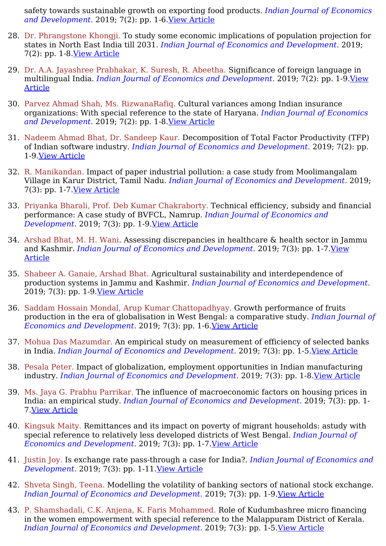safety towards sustainable growth on exporting food products. *Indian Journal of Economics and Development.* 2019; 7(2): pp. 1-6.View [Article](https://ijed.in/articles/the-challenges-of-demand-and-safety-towards-sustainable-growth-on-exporting-food-products)

- 28. Dr. Phrangstone Khongji. To study some economic implications of population projection for states in North East India till 2031. *Indian Journal of Economics and Development.* 2019; 7(2): pp. 1-8.View [Article](https://ijed.in/articles/to-study-some-economic-implications-of-population-projection-for-states-in-north-east-india-till-2031)
- 29. Dr. A.A. Jayashree Prabhakar, K. Suresh, R. Abeetha. Significance of foreign language in multilingual India. *Indian Journal of Economics and [Development.](https://ijed.in/articles/significance-of-foreign-language-in-multilingual-india)* 2019; 7(2): pp. 1-9.View Article
- 30. Parvez Ahmad Shah, Ms. RizwanaRafiq. Cultural variances among Indian insurance organizations: With special reference to the state of Haryana. *Indian Journal of Economics and Development.* 2019; 7(2): pp. 1-8.View [Article](https://ijed.in/articles/cultural-variances-among-indian-insurance-organizations-with-special-reference-to-the-state-of-haryana)
- 31. Nadeem Ahmad Bhat, Dr. Sandeep Kaur. Decomposition of Total Factor Productivity (TFP) of Indian software industry. *Indian Journal of Economics and Development.* 2019; 7(2): pp. 1-9.View [Article](https://ijed.in/articles/decomposition-of-total-factor-productivity-tfp-of-indian-software-industry)
- 32. R. Manikandan. Impact of paper industrial pollution: a case study from Moolimangalam Village in Karur District, Tamil Nadu. *Indian Journal of Economics and Development.* 2019; 7(3): pp. 1-7.View [Article](https://ijed.in/articles/impact-of-paper-industrial-pollution-a-case-study-from-moolimangalam-village-in-karur-district-tamil-nadu)
- 33. Priyanka Bharali, Prof. Deb Kumar Chakraborty. Technical efficiency, subsidy and financial performance: A case study of BVFCL, Namrup. *Indian Journal of Economics and Development.* 2019; 7(3): pp. 1-9.View [Article](https://ijed.in/articles/technical-efficiency-subsidy-and-financial-performance-a-case-study-of-bvfcl-namrup)
- 34. Arshad Bhat, M. H. Wani. Assessing discrepancies in healthcare & health sector in Jammu and Kashmir. *Indian Journal of Economics and [Development.](https://ijed.in/articles/assessing-discrepancies-in-healthcare-health-sector-in-jammu-and-kashmir)* 2019; 7(3): pp. 1-7.View Article
- 35. Shabeer A. Ganaie, Arshad Bhat. Agricultural sustainability and interdependence of production systems in Jammu and Kashmir. *Indian Journal of Economics and Development.* 2019; 7(3): pp. 1-9.View [Article](https://ijed.in/articles/agricultural-sustainability-and-interdependence-of-production-systems-in-jammu-and-kashmir)
- 36. Saddam Hossain Mondal, Arup Kumar Chattopadhyay. Growth performance of fruits production in the era of globalisation in West Bengal: a comparative study. *Indian Journal of Economics and Development.* 2019; 7(3): pp. 1-6.View [Article](https://ijed.in/articles/growth-performance-of-fruits-production-in-the-era-of-globalisation-in-west-bengal-a-comparative-study)
- 37. Mohua Das Mazumdar. An empirical study on measurement of efficiency of selected banks in India. *Indian Journal of Economics and Development.* 2019; 7(3): pp. 1-5.View [Article](https://ijed.in/articles/an-empirical-study-on-measurement-of-efficiency-of-selected-banks-in-india)
- 38. Pesala Peter. Impact of globalization, employment opportunities in Indian manufacturing industry. *Indian Journal of Economics and Development.* 2019; 7(3): pp. 1-8.View [Article](https://ijed.in/articles/impact-of-globalization-employment-opportunities-in-indian-manufacturing-industry)
- 39. Ms. Jaya G. Prabhu Parrikar. The influence of macroeconomic factors on housing prices in India: an empirical study. *Indian Journal of Economics and Development.* 2019; 7(3): pp. 1- 7.View [Article](https://ijed.in/articles/the-influence-of-macroeconomic-factors-on-housing-prices-in-india-an-empirical-study)
- 40. Kingsuk Maity. Remittances and its impact on poverty of migrant households: astudy with special reference to relatively less developed districts of West Bengal. *Indian Journal of Economics and Development.* 2019; 7(3): pp. 1-7.View [Article](https://ijed.in/articles/remittances-and-its-impact-on-poverty-of-migrant-households-astudy-with-special-reference-to-relatively-less-developed-districts-of-west-bengal)
- 41. Justin Joy. Is exchange rate pass-through a case for India?. *Indian Journal of Economics and Development.* 2019; 7(3): pp. 1-11.View [Article](https://ijed.in/articles/is-exchange-rate-pass-through-a-case-for-india)
- 42. Shveta Singh, Teena. Modelling the volatility of banking sectors of national stock exchange. *Indian Journal of Economics and Development.* 2019; 7(3): pp. 1-9.View [Article](https://ijed.in/articles/modelling-the-volatility-of-banking-sectors-of-national-stock-exchange)
- 43. P. Shamshadali, C.K. Anjena, K. Faris Mohammed. Role of Kudumbashree micro financing in the women empowerment with special reference to the Malappuram District of Kerala. *Indian Journal of Economics and Development.* 2019; 7(3): pp. 1-5.View [Article](https://ijed.in/articles/role-of-kudumbashree-micro-financing-in-the-women-empowerment-with-special-reference-to-the-malappuram-district-of-kerala)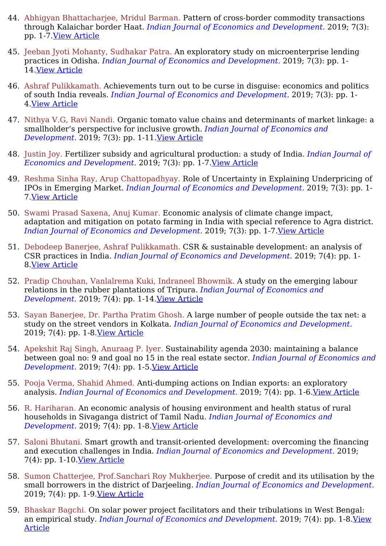- 44. Abhigyan Bhattacharjee, Mridul Barman. Pattern of cross-border commodity transactions through Kalaichar border Haat. *Indian Journal of Economics and Development.* 2019; 7(3): pp. 1-7.View [Article](https://ijed.in/articles/pattern-of-cross-border-commodity-transactions-through-kalaichar-border-haat)
- 45. Jeeban Jyoti Mohanty, Sudhakar Patra. An exploratory study on microenterprise lending practices in Odisha. *Indian Journal of Economics and Development.* 2019; 7(3): pp. 1- 14.View [Article](https://ijed.in/articles/an-exploratory-study-on-microenterprise-lending-practices-in-odisha)
- 46. Ashraf Pulikkamath. Achievements turn out to be curse in disguise: economics and politics of south India reveals. *Indian Journal of Economics and Development.* 2019; 7(3): pp. 1- 4.View [Article](https://ijed.in/articles/achievements-turn-out-to-be-curse-in-disguise-economics-and-politics-of-south-india-reveals)
- 47. Nithya V.G, Ravi Nandi. Organic tomato value chains and determinants of market linkage: a smallholder's perspective for inclusive growth. *Indian Journal of Economics and Development.* 2019; 7(3): pp. 1-11.View [Article](https://ijed.in/articles/organic-tomato-value-chains-and-determinants-of-market-linkage-a-smallholders-perspective-for-inclusive-growth)
- 48. Justin Joy. Fertilizer subsidy and agricultural production: a study of India. *Indian Journal of Economics and Development.* 2019; 7(3): pp. 1-7.View [Article](https://ijed.in/articles/fertilizer-subsidy-and-agricultural-production-a-study-of-india)
- 49. Reshma Sinha Ray, Arup Chattopadhyay. Role of Uncertainty in Explaining Underpricing of IPOs in Emerging Market. *Indian Journal of Economics and Development.* 2019; 7(3): pp. 1- 7.View [Article](https://ijed.in/articles/role-of-uncertainty-in-explaining-underpricing-of-ipos-in-emerging-market)
- 50. Swami Prasad Saxena, Anuj Kumar. Economic analysis of climate change impact, adaptation and mitigation on potato farming in India with special reference to Agra district. *Indian Journal of Economics and Development.* 2019; 7(3): pp. 1-7.View [Article](https://ijed.in/articles/economic-analysis-of-climate-change-impact-adaptation-and-mitigation-on-potato-farming-in-india-with-special-reference-to-agra-district)
- 51. Debodeep Banerjee, Ashraf Pulikkamath. CSR & sustainable development: an analysis of CSR practices in India. *Indian Journal of Economics and Development.* 2019; 7(4): pp. 1- 8.View [Article](https://ijed.in/articles/csr-sustainable-development-an-analysis-of-csr-practices-in-india)
- 52. Pradip Chouhan, Vanlalrema Kuki, Indraneel Bhowmik. A study on the emerging labour relations in the rubber plantations of Tripura. *Indian Journal of Economics and Development.* 2019; 7(4): pp. 1-14.View [Article](https://ijed.in/articles/a-study-on-the-emerging-labour-relations-in-the-rubber-plantations-of-tripura)
- 53. Sayan Banerjee, Dr. Partha Pratim Ghosh. A large number of people outside the tax net: a study on the street vendors in Kolkata. *Indian Journal of Economics and Development.* 2019; 7(4): pp. 1-8.View [Article](https://ijed.in/articles/a-large-number-of-people-outside-the-tax-net-a-study-on-the-street-vendors-in-kolkata)
- 54. Apekshit Raj Singh, Anuraag P. Iyer. Sustainability agenda 2030: maintaining a balance between goal no: 9 and goal no 15 in the real estate sector. *Indian Journal of Economics and Development.* 2019; 7(4): pp. 1-5.View [Article](https://ijed.in/articles/sustainability-agenda-2030-maintaining-a-balance-between-goal-no-9-and-goal-no-15-in-the-real-estate-sector)
- 55. Pooja Verma, Shahid Ahmed. Anti-dumping actions on Indian exports: an exploratory analysis. *Indian Journal of Economics and Development.* 2019; 7(4): pp. 1-6.View [Article](https://ijed.in/articles/anti-dumping-actions-on-indian-exports-an-exploratory-analysis)
- 56. R. Hariharan. An economic analysis of housing environment and health status of rural households in Sivaganga district of Tamil Nadu. *Indian Journal of Economics and Development.* 2019; 7(4): pp. 1-8.View [Article](https://ijed.in/articles/an-economic-analysis-of-housing-environment-and-health-status-of-rural-households-in-sivaganga-district-of-tamil-nadu)
- 57. Saloni Bhutani. Smart growth and transit-oriented development: overcoming the financing and execution challenges in India. *Indian Journal of Economics and Development.* 2019; 7(4): pp. 1-10.View [Article](https://ijed.in/articles/smart-growth-and-transit-oriented-development-overcoming-the-financing-and-execution-challenges-in-india)
- 58. Sumon Chatterjee, Prof.Sanchari Roy Mukherjee. Purpose of credit and its utilisation by the small borrowers in the district of Darjeeling. *Indian Journal of Economics and Development.* 2019; 7(4): pp. 1-9.View [Article](https://ijed.in/articles/purpose-of-credit-and-its-utilisation-by-the-small-borrowers-in-the-district-of-darjeeling)
- 59. Bhaskar Bagchi. On solar power project facilitators and their tribulations in West Bengal: an empirical study. *Indian Journal of Economics and [Development.](https://ijed.in/articles/on-solar-power-project-facilitators-and-their-tribulations-in-west-bengal-an-empirical-study)* 2019; 7(4): pp. 1-8.View Article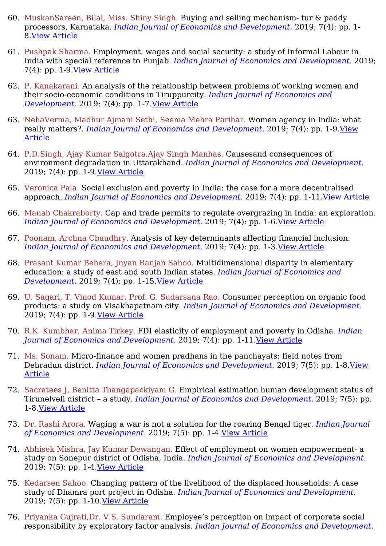- 60. MuskanSareen, Bilal, Miss. Shiny Singh. Buying and selling mechanism- tur & paddy processors, Karnataka. *Indian Journal of Economics and Development.* 2019; 7(4): pp. 1- 8.View [Article](https://ijed.in/articles/buying-and-selling-mechanism-tur-paddy-processors-karnataka)
- 61. Pushpak Sharma. Employment, wages and social security: a study of Informal Labour in India with special reference to Punjab. *Indian Journal of Economics and Development.* 2019; 7(4): pp. 1-9.View [Article](https://ijed.in/articles/employment-wages-and-social-security-a-study-of-informal-labour-in-india-with-special-reference-to-punjab)
- 62. P. Kanakarani. An analysis of the relationship between problems of working women and their socio-economic conditions in Tiruppurcity. *Indian Journal of Economics and Development.* 2019; 7(4): pp. 1-7. *<u>View [Article](https://ijed.in/articles/an-analysis-of-the-relationship-between-problems-of-working-women-and-their-socio-economic-conditions-in-tiruppurcity)</u>*
- 63. NehaVerma, Madhur Ajmani Sethi, Seema Mehra Parihar. Women agency in India: what really matters?. *Indian Journal of Economics and [Development.](https://ijed.in/articles/women-agency-in-india-what-really-matters)* 2019; 7(4): pp. 1-9.View Article
- 64. P.D.Singh, Ajay Kumar Salgotra,Ajay Singh Manhas. Causesand consequences of environment degradation in Uttarakhand. *Indian Journal of Economics and Development.* 2019; 7(4): pp. 1-9.View [Article](https://ijed.in/articles/causesand-consequences-of-environment-degradation-in-uttarakhand)
- 65. Veronica Pala. Social exclusion and poverty in India: the case for a more decentralised approach. *Indian Journal of Economics and Development.* 2019; 7(4): pp. 1-11.View [Article](https://ijed.in/articles/social-exclusion-and-poverty-in-india-the-case-for-a-more-decentralised-approach)
- 66. Manab Chakraborty. Cap and trade permits to regulate overgrazing in India: an exploration. *Indian Journal of Economics and Development.* 2019; 7(4): pp. 1-6.View [Article](https://ijed.in/articles/cap-and-trade-permits-to-regulate-overgrazing-in-india-an-exploration)
- 67. Poonam, Archna Chaudhry. Analysis of key determinants affecting financial inclusion. *Indian Journal of Economics and Development.* 2019; 7(4): pp. 1-3.View [Article](https://ijed.in/articles/analysis-of-key-determinants-affecting-financial-inclusion)
- 68. Prasant Kumar Behera, Jnyan Ranjan Sahoo. Multidimensional disparity in elementary education: a study of east and south Indian states. *Indian Journal of Economics and Development.* 2019; 7(4): pp. 1-15.View [Article](https://ijed.in/articles/multidimensional-disparity-in-elementary-education-a-study-of-east-and-south-indian-states)
- 69. U. Sagari, T. Vinod Kumar, Prof. G. Sudarsana Rao. Consumer perception on organic food products: a study on Visakhapatnam city. *Indian Journal of Economics and Development.* 2019; 7(4): pp. 1-9.View [Article](https://ijed.in/articles/consumer-perception-on-organic-food-products-a-study-on-visakhapatnam-city)
- 70. R.K. Kumbhar, Anima Tirkey. FDI elasticity of employment and poverty in Odisha. *Indian Journal of Economics and Development.* 2019; 7(4): pp. 1-11.View [Article](https://ijed.in/articles/fdi-elasticity-of-employment-and-poverty-in-odisha)
- 71. Ms. Sonam. Micro-finance and women pradhans in the panchayats: field notes from Dehradun district. *Indian Journal of Economics and [Development.](https://ijed.in/articles/micro-finance-and-women-pradhans-in-the-panchayats-field-notes-from-dehradun-district)* 2019; 7(5): pp. 1-8.View Article
- 72. Sacratees J, Benitta Thangapackiyam G. Empirical estimation human development status of Tirunelveli district – a study. *Indian Journal of Economics and Development.* 2019; 7(5): pp. 1-8.View [Article](https://ijed.in/articles/empirical-estimation-human-development-status-of-tirunelveli-district-a-study)
- 73. Dr. Rashi Arora. Waging a war is not a solution for the roaring Bengal tiger. *Indian Journal of Economics and Development.* 2019; 7(5): pp. 1-4.View [Article](https://ijed.in/articles/waging-a-war-is-not-a-solution-for-the-roaring-bengal-tiger)
- 74. Abhisek Mishra, Jay Kumar Dewangan. Effect of employment on women empowerment- a study on Sonepur district of Odisha, India. *Indian Journal of Economics and Development.* 2019; 7(5): pp. 1-4.View [Article](https://ijed.in/articles/effect-of-employment-on-women-empowerment-a-study-on-sonepur-district-of-odisha-india)
- 75. Kedarsen Sahoo. Changing pattern of the livelihood of the displaced households: A case study of Dhamra port project in Odisha. *Indian Journal of Economics and Development.* 2019; 7(5): pp. 1-10.View [Article](https://ijed.in/articles/changing-pattern-of-the-livelihood-of-the-displaced-households-a-case-study-of-dhamra-port-project-in-odisha)
- 76. Priyanka Gujrati,Dr. V.S. Sundaram. Employee's perception on impact of corporate social responsibility by exploratory factor analysis. *Indian Journal of Economics and Development.*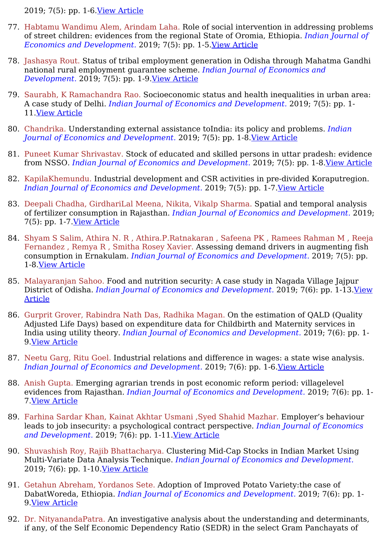2019; 7(5): pp. 1-6.View [Article](https://ijed.in/articles/employees-perception-on-impact-of-corporate-social-responsibility-by-exploratory-factor-analysis)

- 77. Habtamu Wandimu Alem, Arindam Laha. Role of social intervention in addressing problems of street children: evidences from the regional State of Oromia, Ethiopia. *Indian Journal of Economics and Development.* 2019; 7(5): pp. 1-5.View [Article](https://ijed.in/articles/role-of-social-intervention-in-addressing-problems-of-street-children-evidences-from-the-regional-state-of-oromia-ethiopia)
- 78. Jashasya Rout. Status of tribal employment generation in Odisha through Mahatma Gandhi national rural employment guarantee scheme. *Indian Journal of Economics and Development.* 2019; 7(5): pp. 1-9.View [Article](https://ijed.in/articles/status-of-tribal-employment-generation-in-odisha-through-mahatma-gandhi-national-rural-employment-guarantee-scheme)
- 79. Saurabh, K Ramachandra Rao. Socioeconomic status and health inequalities in urban area: A case study of Delhi. *Indian Journal of Economics and Development.* 2019; 7(5): pp. 1- 11.View [Article](https://ijed.in/articles/socioeconomic-status-and-health-inequalities-in-urban-area-a-case-study-of-delhi)
- 80. Chandrika. Understanding external assistance toIndia: its policy and problems. *Indian Journal of Economics and Development.* 2019; 7(5): pp. 1-8.View [Article](https://ijed.in/articles/understanding-external-assistance-toindia-its-policy-and-problems)
- 81. Puneet Kumar Shrivastav. Stock of educated and skilled persons in uttar pradesh: evidence from NSSO. *Indian Journal of Economics and Development.* 2019; 7(5): pp. 1-8.View [Article](https://ijed.in/articles/stock-of-educated-and-skilled-persons-in-uttar-pradesh-evidence-from-nsso)
- 82. KapilaKhemundu. Industrial development and CSR activities in pre-divided Koraputregion. *Indian Journal of Economics and Development.* 2019; 7(5): pp. 1-7.View [Article](https://ijed.in/articles/industrial-development-and-csr-activities-in-pre-divided-koraputregion)
- 83. Deepali Chadha, GirdhariLal Meena, Nikita, Vikalp Sharma. Spatial and temporal analysis of fertilizer consumption in Rajasthan. *Indian Journal of Economics and Development.* 2019; 7(5): pp. 1-7.View [Article](https://ijed.in/articles/spatial-and-temporal-analysis-of-fertilizer-consumption-in-rajasthan)
- 84. Shyam S Salim, Athira N. R , Athira.P.Ratnakaran , Safeena PK , Ramees Rahman M , Reeja Fernandez , Remya R , Smitha Rosey Xavier. Assessing demand drivers in augmenting fish consumption in Ernakulam. *Indian Journal of Economics and Development.* 2019; 7(5): pp. 1-8.View [Article](https://ijed.in/articles/assessing-demand-drivers-in-augmenting-fish-consumption-in-ernakulam)
- 85. Malayaranjan Sahoo. Food and nutrition security: A case study in Nagada Village Jajpur District of Odisha. *Indian Journal of Economics and [Development.](https://ijed.in/articles/food-and-nutrition-security-a-case-study-in-nagada-village-jajpur-district-of-odisha)* 2019; 7(6): pp. 1-13.View Article
- 86. Gurprit Grover, Rabindra Nath Das, Radhika Magan. On the estimation of QALD (Quality Adjusted Life Days) based on expenditure data for Childbirth and Maternity services in India using utility theory. *Indian Journal of Economics and Development.* 2019; 7(6): pp. 1- 9.View [Article](https://ijed.in/articles/on-the-estimation-of-qald-quality-adjusted-life-days-based-on-expenditure-data-for-childbirth-and-maternity-services-in-india-using-utility-theory)
- 87. Neetu Garg, Ritu Goel. Industrial relations and difference in wages: a state wise analysis. *Indian Journal of Economics and Development.* 2019; 7(6): pp. 1-6.View [Article](https://ijed.in/articles/industrial-relations-and-difference-in-wages-a-state-wise-analysis)
- 88. Anish Gupta. Emerging agrarian trends in post economic reform period: villagelevel evidences from Rajasthan. *Indian Journal of Economics and Development.* 2019; 7(6): pp. 1- 7.View [Article](https://ijed.in/articles/emerging-agrarian-trends-in-post-economic-reform-period-villagelevel-evidences-from-rajasthan)
- 89. Farhina Sardar Khan, Kainat Akhtar Usmani ,Syed Shahid Mazhar. Employer's behaviour leads to job insecurity: a psychological contract perspective. *Indian Journal of Economics and Development.* 2019; 7(6): pp. 1-11.View [Article](https://ijed.in/articles/employers-behaviour-leads-to-job-insecurity-a-psychological-contract-perspective)
- 90. Shuvashish Roy, Rajib Bhattacharya. Clustering Mid-Cap Stocks in Indian Market Using Multi-Variate Data Analysis Technique. *Indian Journal of Economics and Development.* 2019; 7(6): pp. 1-10.View [Article](https://ijed.in/articles/clustering-mid-cap-stocks-in-indian-market-using-multi-variate-data-analysis-technique)
- 91. Getahun Abreham, Yordanos Sete. Adoption of Improved Potato Variety:the case of DabatWoreda, Ethiopia. *Indian Journal of Economics and Development.* 2019; 7(6): pp. 1- 9.View [Article](https://ijed.in/articles/adoption-of-improved-potato-varietythe-case-of-dabatworeda-ethiopia)
- 92. Dr. NityanandaPatra. An investigative analysis about the understanding and determinants, if any, of the Self Economic Dependency Ratio (SEDR) in the select Gram Panchayats of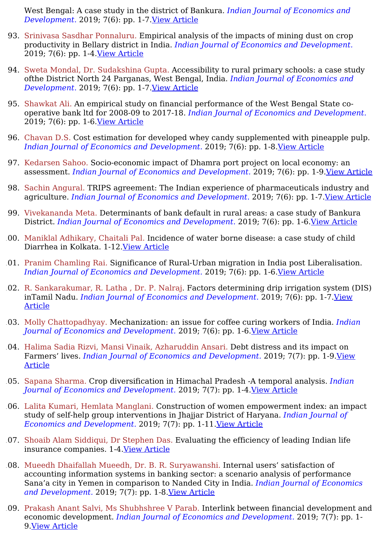West Bengal: A case study in the district of Bankura. *Indian Journal of Economics and Development.* 2019; 7(6): pp. 1-7.View [Article](https://ijed.in/articles/an-investigative-analysis-about-the-understanding-and-determinants-if-any-of-the-self-economic-dependency-ratio-sedr-in-the-select-gram-panchayats-of-west-bengal-a-case-study-in-the-district-of-bankura)

- 93. Srinivasa Sasdhar Ponnaluru. Empirical analysis of the impacts of mining dust on crop productivity in Bellary district in India. *Indian Journal of Economics and Development.* 2019; 7(6): pp. 1-4.View [Article](https://ijed.in/articles/empirical-analysis-of-the-impacts-of-mining-dust-on-crop-productivity-in-bellary-district-in-india)
- 94. Sweta Mondal, Dr. Sudakshina Gupta. Accessibility to rural primary schools: a case study ofthe District North 24 Parganas, West Bengal, India. *Indian Journal of Economics and Development.* 2019; 7(6): pp. 1-7.View [Article](https://ijed.in/articles/accessibility-to-rural-primary-schools-a-case-study-ofthe-district-north-24-parganas-west-bengal-india)
- 95. Shawkat Ali. An empirical study on financial performance of the West Bengal State cooperative bank ltd for 2008-09 to 2017-18. *Indian Journal of Economics and Development.* 2019; 7(6): pp. 1-6.View [Article](https://ijed.in/articles/an-empirical-study-on-financial-performance-of-the-west-bengal-state-co-operative-bank-ltd-for-2008-09-to-2017-18)
- 96. Chavan D.S. Cost estimation for developed whey candy supplemented with pineapple pulp. *Indian Journal of Economics and Development.* 2019; 7(6): pp. 1-8.View [Article](https://ijed.in/articles/cost-estimation-for-developed-whey-candy-supplemented-with-pineapple-pulp)
- 97. Kedarsen Sahoo. Socio-economic impact of Dhamra port project on local economy: an assessment. *Indian Journal of Economics and Development.* 2019; 7(6): pp. 1-9.View [Article](https://ijed.in/articles/socio-economic-impact-of-dhamra-port-project-on-local-economy-an-assessment)
- 98. Sachin Angural. TRIPS agreement: The Indian experience of pharmaceuticals industry and agriculture. *Indian Journal of Economics and Development.* 2019; 7(6): pp. 1-7.View [Article](https://ijed.in/articles/trips-agreement-the-indian-experience-of-pharmaceuticals-industry-and-agriculture)
- 99. Vivekananda Meta. Determinants of bank default in rural areas: a case study of Bankura District. *Indian Journal of Economics and Development.* 2019; 7(6): pp. 1-6.View [Article](https://ijed.in/articles/determinants-of-bank-default-in-rural-areas-a-case-study-of-bankura-district)
- 100. Maniklal Adhikary, Chaitali Pal. Incidence of water borne disease: a case study of child Diarrhea in Kolkata. 1-12.View [Article](https://ijed.in/articles/incidence-of-water-borne-disease-a-case-study-of-child-diarrhea-in-kolkata)
- 101. Pranim Chamling Rai. Significance of Rural-Urban migration in India post Liberalisation. *Indian Journal of Economics and Development.* 2019; 7(6): pp. 1-6.View [Article](https://ijed.in/articles/significance-of-rural-urban-migration-in-india-post-liberalisation)
- 102. R. Sankarakumar, R. Latha , Dr. P. Nalraj. Factors determining drip irrigation system (DIS) inTamil Nadu. *Indian Journal of Economics and [Development.](https://ijed.in/articles/factors-determining-drip-irrigation-system-dis-intamil-nadu)* 2019; 7(6): pp. 1-7.View Article
- 103. Molly Chattopadhyay. Mechanization: an issue for coffee curing workers of India. *Indian Journal of Economics and Development.* 2019; 7(6): pp. 1-6.View [Article](https://ijed.in/articles/mechanization-an-issue-for-coffee-curing-workers-of-india)
- 104. Halima Sadia Rizvi, Mansi Vinaik, Azharuddin Ansari. Debt distress and its impact on Farmers' lives. *Indian Journal of Economics and [Development.](https://ijed.in/articles/debt-distress-and-its-impact-on-farmers-lives)* 2019; 7(7): pp. 1-9.View Article
- 105. Sapana Sharma. Crop diversification in Himachal Pradesh -A temporal analysis. *Indian Journal of Economics and Development.* 2019; 7(7): pp. 1-4.View [Article](https://ijed.in/articles/crop-diversification-in-himachal-pradesh-a-temporal-analysis)
- 106. Lalita Kumari, Hemlata Manglani. Construction of women empowerment index: an impact study of self-help group interventions in Jhajjar District of Haryana. *Indian Journal of Economics and Development.* 2019; 7(7): pp. 1-11.View [Article](https://ijed.in/articles/construction-of-women-empowerment-index-an-impact-study-of-self-help-group-interventions-in-jhajjar-district-of-haryana)
- 107. Shoaib Alam Siddiqui, Dr Stephen Das. Evaluating the efficiency of leading Indian life insurance companies. 1-4.View [Article](https://ijed.in/articles/evaluating-the-efficiency-of-leading-indian-life-insurance-companies)
- 108. Mueedh Dhaifallah Mueedh, Dr. B. R. Suryawanshi. Internal users' satisfaction of accounting information systems in banking sector: a scenario analysis of performance Sana'a city in Yemen in comparison to Nanded City in India. *Indian Journal of Economics and Development.* 2019; 7(7): pp. 1-8.View [Article](https://ijed.in/articles/internal-users-satisfaction-of-accounting-information-systems-in-banking-sector-a-scenario-analysis-of-performance-sanaa-city-in-yemen-in-comparison-to-nanded-city-in-india)
- 109. Prakash Anant Salvi, Ms Shubhshree V Parab. Interlink between financial development and economic development. *Indian Journal of Economics and Development.* 2019; 7(7): pp. 1- 9.View [Article](https://ijed.in/articles/interlink-between-financial-development-and-economic-development)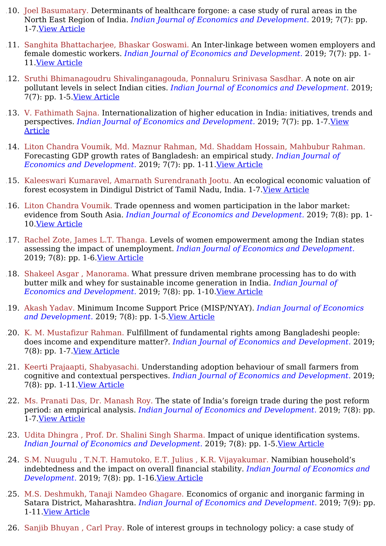- 110. Joel Basumatary. Determinants of healthcare forgone: a case study of rural areas in the North East Region of India. *Indian Journal of Economics and Development.* 2019; 7(7): pp. 1-7.View [Article](https://ijed.in/articles/determinants-of-healthcare-forgone-a-case-study-of-rural-areas-in-the-north-east-region-of-india)
- 111. Sanghita Bhattacharjee, Bhaskar Goswami. An Inter-linkage between women employers and female domestic workers. *Indian Journal of Economics and Development.* 2019; 7(7): pp. 1- 11.View [Article](https://ijed.in/articles/an-inter-linkage-between-women-employers-and-female-domestic-workers)
- 112. Sruthi Bhimanagoudru Shivalinganagouda, Ponnaluru Srinivasa Sasdhar. A note on air pollutant levels in select Indian cities. *Indian Journal of Economics and Development.* 2019; 7(7): pp. 1-5.View [Article](https://ijed.in/articles/a-note-on-air-pollutant-levels-in-select-indian-cities)
- 113. V. Fathimath Sajna. Internationalization of higher education in India: initiatives, trends and perspectives. *Indian Journal of Economics and [Development.](https://ijed.in/articles/internationalization-of-higher-education-in-india-initiatives-trends-and-perspectives)* 2019; 7(7): pp. 1-7.View Article
- 114. Liton Chandra Voumik, Md. Maznur Rahman, Md. Shaddam Hossain, Mahbubur Rahman. Forecasting GDP growth rates of Bangladesh: an empirical study. *Indian Journal of Economics and Development.* 2019; 7(7): pp. 1-11.View [Article](https://ijed.in/articles/forecasting-gdp-growth-rates-of-bangladesh-an-empirical-study)
- 115. Kaleeswari Kumaravel, Amarnath Surendranath Jootu. An ecological economic valuation of forest ecosystem in Dindigul District of Tamil Nadu, India. 1-7.View [Article](https://ijed.in/articles/an-ecological-economic-valuation-of-forest-ecosystem-in-dindigul-district-of-tamil-nadu-india)
- 116. Liton Chandra Voumik. Trade openness and women participation in the labor market: evidence from South Asia. *Indian Journal of Economics and Development.* 2019; 7(8): pp. 1- 10.View [Article](https://ijed.in/articles/trade-openness-and-women-participation-in-the-labor-market-evidence-from-south-asia)
- 117. Rachel Zote, James L.T. Thanga. Levels of women empowerment among the Indian states assessing the impact of unemployment. *Indian Journal of Economics and Development.* 2019; 7(8): pp. 1-6.View [Article](https://ijed.in/articles/levels-of-women-empowerment-among-the-indian-states-assessing-the-impact-of-unemployment)
- 118. Shakeel Asgar , Manorama. What pressure driven membrane processing has to do with butter milk and whey for sustainable income generation in India. *Indian Journal of Economics and Development.* 2019; 7(8): pp. 1-10.View [Article](https://ijed.in/articles/what-pressure-driven-membrane-processing-has-to-do-with-butter-milk-and-whey-for-sustainable-income-generation-in-india)
- 119. Akash Yadav. Minimum Income Support Price (MISP/NYAY). *Indian Journal of Economics and Development.* 2019; 7(8): pp. 1-5.View [Article](https://ijed.in/articles/minimum-income-support-price-mispnyay)
- 120. K. M. Mustafizur Rahman. Fulfillment of fundamental rights among Bangladeshi people: does income and expenditure matter?. *Indian Journal of Economics and Development.* 2019; 7(8): pp. 1-7.View [Article](https://ijed.in/articles/fulfillment-of-fundamental-rights-among-bangladeshi-people-does-income-and-expenditure-matter)
- 121. Keerti Prajaapti, Shabyasachi. Understanding adoption behaviour of small farmers from cognitive and contextual perspectives. *Indian Journal of Economics and Development.* 2019; 7(8): pp. 1-11.View [Article](https://ijed.in/articles/understanding-adoption-behaviour-of-small-farmers-from-cognitive-and-contextual-perspectives)
- 122. Ms. Pranati Das, Dr. Manash Roy. The state of India's foreign trade during the post reform period: an empirical analysis. *Indian Journal of Economics and Development.* 2019; 7(8): pp. 1-7.View [Article](https://ijed.in/articles/the-state-of-indias-foreign-trade-during-the-post-reform-period-an-empirical-analysis)
- 123. Udita Dhingra , Prof. Dr. Shalini Singh Sharma. Impact of unique identification systems. *Indian Journal of Economics and Development.* 2019; 7(8): pp. 1-5.View [Article](https://ijed.in/articles/impact-of-unique-identification-systems)
- 124. S.M. Nuugulu , T.N.T. Hamutoko, E.T. Julius , K.R. Vijayakumar. Namibian household's indebtedness and the impact on overall financial stability. *Indian Journal of Economics and Development.* 2019; 7(8): pp. 1-16.View [Article](https://ijed.in/articles/namibian-households-indebtedness-and-the-impact-on-overall-financial-stability)
- 125. M.S. Deshmukh, Tanaji Namdeo Ghagare. Economics of organic and inorganic farming in Satara District, Maharashtra. *Indian Journal of Economics and Development.* 2019; 7(9): pp. 1-11.View [Article](https://ijed.in/articles/economics-of-organic-and-inorganic-farming-in-satara-district-maharashtra)
- 126. Sanjib Bhuyan , Carl Pray. Role of interest groups in technology policy: a case study of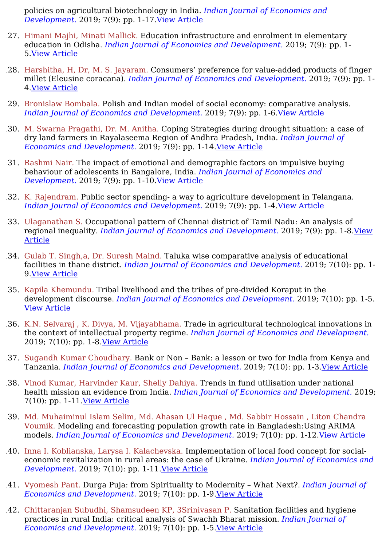policies on agricultural biotechnology in India. *Indian Journal of Economics and Development.* 2019; 7(9): pp. 1-17.View [Article](https://ijed.in/articles/role-of-interest-groups-in-technology-policy-a-case-study-of-policies-on-agricultural-biotechnology-in-india)

- 127. Himani Majhi, Minati Mallick. Education infrastructure and enrolment in elementary education in Odisha. *Indian Journal of Economics and Development.* 2019; 7(9): pp. 1- 5.View [Article](https://ijed.in/articles/education-infrastructure-and-enrolment-in-elementary-education-in-odisha)
- 128. Harshitha, H, Dr, M. S. Jayaram. Consumers' preference for value-added products of finger millet (Eleusine coracana). *Indian Journal of Economics and Development.* 2019; 7(9): pp. 1- 4.View [Article](https://ijed.in/articles/consumers-preference-for-value-added-products-of-finger-millet-eleusine-coracana)
- 129. Bronislaw Bombala. Polish and Indian model of social economy: comparative analysis. *Indian Journal of Economics and Development.* 2019; 7(9): pp. 1-6.View [Article](https://ijed.in/articles/polish-and-indian-model-of-social-economy-comparative-analysis)
- 130. M. Swarna Pragathi, Dr. M. Anitha. Coping Strategies during drought situation: a case of dry land farmers in Rayalaseema Region of Andhra Pradesh, India. *Indian Journal of Economics and Development.* 2019; 7(9): pp. 1-14.View [Article](https://ijed.in/articles/coping-strategies-during-drought-situation-a-case-of-dry-land-farmers-in-rayalaseema-region-of-andhra-pradesh-india)
- 131. Rashmi Nair. The impact of emotional and demographic factors on impulsive buying behaviour of adolescents in Bangalore, India. *Indian Journal of Economics and Development.* 2019; 7(9): pp. 1-10.View [Article](https://ijed.in/articles/the-impact-of-emotional-and-demographic-factors-on-impulsive-buying-behaviour-of-adolescents-in-bangalore-india)
- 132. K. Rajendram. Public sector spending- a way to agriculture development in Telangana. *Indian Journal of Economics and Development.* 2019; 7(9): pp. 1-4.View [Article](https://ijed.in/articles/public-sector-spending-a-way-to-agriculture-development-in-telangana)
- 133. Ulaganathan S. Occupational pattern of Chennai district of Tamil Nadu: An analysis of regional inequality. *Indian Journal of Economics and [Development.](https://ijed.in/articles/occupational-pattern-of-chennai-district-of-tamil-nadu-an-analysis-of-regional-inequality)* 2019; 7(9): pp. 1-8.View Article
- 134. Gulab T. Singh,a, Dr. Suresh Maind. Taluka wise comparative analysis of educational facilities in thane district. *Indian Journal of Economics and Development.* 2019; 7(10): pp. 1- 9.View [Article](https://ijed.in/articles/taluka-wise-comparative-analysis-of-educational-facilities-in-thane-district)
- 135. Kapila Khemundu. Tribal livelihood and the tribes of pre-divided Koraput in the development discourse. *Indian Journal of Economics and Development.* 2019; 7(10): pp. 1-5. View [Article](https://ijed.in/articles/tribal-livelihood-and-the-tribes-of-pre-divided-koraput-in-the-development-discourse)
- 136. K.N. Selvaraj , K. Divya, M. Vijayabhama. Trade in agricultural technological innovations in the context of intellectual property regime. *Indian Journal of Economics and Development.* 2019; 7(10): pp. 1-8.View [Article](https://ijed.in/articles/trade-in-agricultural-technological-innovations-in-the-context-of-intellectual-property-regime)
- 137. Sugandh Kumar Choudhary. Bank or Non Bank: a lesson or two for India from Kenya and Tanzania. *Indian Journal of Economics and Development.* 2019; 7(10): pp. 1-3.View [Article](https://ijed.in/articles/bank-or-non-bank-a-lesson-or-two-for-india-from-kenya-and-tanzania)
- 138. Vinod Kumar, Harvinder Kaur, Shelly Dahiya. Trends in fund utilisation under national health mission an evidence from India. *Indian Journal of Economics and Development.* 2019; 7(10): pp. 1-11.View [Article](https://ijed.in/articles/trends-in-fund-utilisation-under-national-health-mission-an-evidence-from-india)
- 139. Md. Muhaiminul Islam Selim, Md. Ahasan Ul Haque , Md. Sabbir Hossain , Liton Chandra Voumik. Modeling and forecasting population growth rate in Bangladesh:Using ARIMA models. *Indian Journal of Economics and Development.* 2019; 7(10): pp. 1-12.View [Article](https://ijed.in/articles/modeling-and-forecasting-population-growth-rate-in-bangladeshusing-arima-models)
- 140. Inna I. Koblianska, Larysa I. Kalachevska. Implementation of local food concept for socialeconomic revitalization in rural areas: the case of Ukraine. *Indian Journal of Economics and Development.* 2019; 7(10): pp. 1-11.View [Article](https://ijed.in/articles/implementation-of-local-food-concept-for-social-economic-revitalization-in-rural-areas-the-case-of-ukraine)
- 141. Vyomesh Pant. Durga Puja: from Spirituality to Modernity What Next?. *Indian Journal of Economics and Development.* 2019; 7(10): pp. 1-9.View [Article](https://ijed.in/articles/durga-puja-from-spirituality-to-modernity-what-next)
- 142. Chittaranjan Subudhi, Shamsudeen KP, 3Srinivasan P. Sanitation facilities and hygiene practices in rural India: critical analysis of Swachh Bharat mission. *Indian Journal of Economics and Development.* 2019; 7(10): pp. 1-5.View [Article](https://ijed.in/articles/sanitation-facilities-and-hygiene-practices-in-rural-india-critical-analysis-of-swachh-bharat-mission)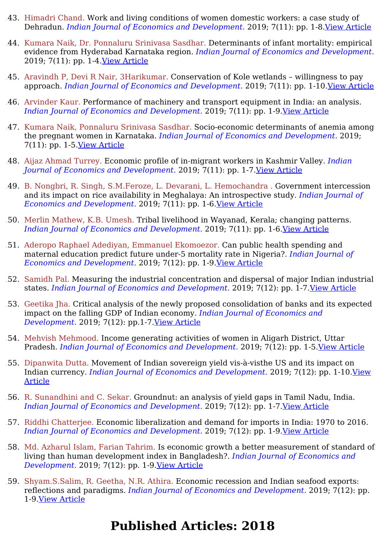- 143. Himadri Chand. Work and living conditions of women domestic workers: a case study of Dehradun. *Indian Journal of Economics and Development.* 2019; 7(11): pp. 1-8.View [Article](https://ijed.in/articles/work-and-living-conditions-of-women-domestic-workers-a-case-study-of-dehradun)
- 144. Kumara Naik, Dr. Ponnaluru Srinivasa Sasdhar. Determinants of infant mortality: empirical evidence from Hyderabad Karnataka region. *Indian Journal of Economics and Development.* 2019; 7(11): pp. 1-4.View [Article](https://ijed.in/articles/determinants-of-infant-mortality-empirical-evidence-from-hyderabad-karnataka-region)
- 145. Aravindh P, Devi R Nair, 3Harikumar. Conservation of Kole wetlands willingness to pay approach. *Indian Journal of Economics and Development.* 2019; 7(11): pp. 1-10.View [Article](https://ijed.in/articles/conservation-of-kole-wetlands-willingness-to-pay-approach)
- 146. Arvinder Kaur. Performance of machinery and transport equipment in India: an analysis. *Indian Journal of Economics and Development.* 2019; 7(11): pp. 1-9.View [Article](https://ijed.in/articles/performance-of-machinery-and-transport-equipment-in-india-an-analysis)
- 147. Kumara Naik, Ponnaluru Srinivasa Sasdhar. Socio-economic determinants of anemia among the pregnant women in Karnataka. *Indian Journal of Economics and Development.* 2019; 7(11): pp. 1-5. <u>View [Article](https://ijed.in/articles/socio-economic-determinants-of-anemia-among-the-pregnant-women-in-karnataka)</u>
- 148. Aijaz Ahmad Turrey. Economic profile of in-migrant workers in Kashmir Valley. *Indian Journal of Economics and Development.* 2019; 7(11): pp. 1-7.View [Article](https://ijed.in/articles/economic-profile-of-in-migrant-workers-in-kashmir-valley)
- 149. B. Nongbri, R. Singh, S.M.Feroze, L. Devarani, L. Hemochandra . Government intercession and its impact on rice availability in Meghalaya: An introspective study. *Indian Journal of Economics and Development.* 2019; 7(11): pp. 1-6.View [Article](https://ijed.in/articles/government-intercession-and-its-impact-on-rice-availability-in-meghalaya-an-introspective-study)
- 150. Merlin Mathew, K.B. Umesh. Tribal livelihood in Wayanad, Kerala; changing patterns. *Indian Journal of Economics and Development.* 2019; 7(11): pp. 1-6.View [Article](https://ijed.in/articles/tribal-livelihood-in-wayanad-kerala-changing-patterns)
- 151. Aderopo Raphael Adediyan, Emmanuel Ekomoezor. Can public health spending and maternal education predict future under-5 mortality rate in Nigeria?. *Indian Journal of Economics and Development.* 2019; 7(12): pp. 1-9.View [Article](https://ijed.in/articles/can-public-health-spending-and-maternal-education-predict-future-under-5-mortality-rate-in-nigeria)
- 152. Samidh Pal. Measuring the industrial concentration and dispersal of major Indian industrial states. *Indian Journal of Economics and Development.* 2019; 7(12): pp. 1-7.View [Article](https://ijed.in/articles/measuring-the-industrial-concentration-and-dispersal-of-major-indian-industrial-states)
- 153. Geetika Jha. Critical analysis of the newly proposed consolidation of banks and its expected impact on the falling GDP of Indian economy. *Indian Journal of Economics and Development.* 2019; 7(12): pp.1-7.View [Article](https://ijed.in/articles/critical-analysis-of-the-newly-proposed-consolidation-of-banks-and-its-expected-impact-on-the-falling-gdp-of-indian-economy)
- 154. Mehvish Mehmood. Income generating activities of women in Aligarh District, Uttar Pradesh. *Indian Journal of Economics and Development.* 2019; 7(12): pp. 1-5.View [Article](https://ijed.in/articles/income-generating-activities-of-women-in-aligarh-district-uttar-pradesh)
- 155. Dipanwita Dutta. Movement of Indian sovereign yield vis-à-visthe US and its impact on Indian currency. *Indian Journal of Economics and [Development.](https://ijed.in/articles/movement-of-indian-sovereign-yield-vis-visthe-us-and-its-impact-on-indian-currency)* 2019; 7(12): pp. 1-10.View Article
- 156. R. Sunandhini and C. Sekar. Groundnut: an analysis of yield gaps in Tamil Nadu, India. *Indian Journal of Economics and Development.* 2019; 7(12): pp. 1-7.View [Article](https://ijed.in/articles/groundnut-an-analysis-of-yield-gaps-in-tamil-nadu-india)
- 157. Riddhi Chatterjee. Economic liberalization and demand for imports in India: 1970 to 2016. *Indian Journal of Economics and Development.* 2019; 7(12): pp. 1-9.View [Article](https://ijed.in/articles/economic-liberalization-and-demand-for-imports-in-india-1970-to-2016)
- 158. Md. Azharul Islam, Farian Tahrim. Is economic growth a better measurement of standard of living than human development index in Bangladesh?. *Indian Journal of Economics and Development.* 2019; 7(12): pp. 1-9.View [Article](https://ijed.in/articles/is-economic-growth-a-better-measurement-of-standard-of-living-than-human-development-index-in-bangladesh)
- 159. Shyam.S.Salim, R. Geetha, N.R. Athira. Economic recession and Indian seafood exports: reflections and paradigms. *Indian Journal of Economics and Development.* 2019; 7(12): pp. 1-9.View [Article](https://ijed.in/articles/economic-recession-and-indian-seafood-exports-reflections-and-paradigms)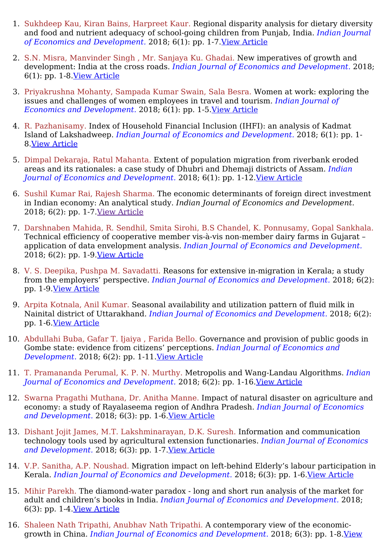- 1. Sukhdeep Kau, Kiran Bains, Harpreet Kaur. Regional disparity analysis for dietary diversity and food and nutrient adequacy of school-going children from Punjab, India. *Indian Journal of Economics and Development.* 2018; 6(1): pp. 1-7.View [Article](https://ijed.in/articles/regional-disparity-analysis-for-dietary-diversity-and-food-and-nutrient-adequacy-of-school-going-children-from-punjab-india)
- 2. S.N. Misra, Manvinder Singh , Mr. Sanjaya Ku. Ghadai. New imperatives of growth and development: India at the cross roads. *Indian Journal of Economics and Development.* 2018; 6(1): pp. 1-8.View [Article](https://ijed.in/articles/new-imperatives-of-growth-and-development-india-at-the-cross-roads)
- 3. Priyakrushna Mohanty, Sampada Kumar Swain, Sala Besra. Women at work: exploring the issues and challenges of women employees in travel and tourism. *Indian Journal of Economics and Development.* 2018; 6(1): pp. 1-5.View [Article](https://ijed.in/articles/women-at-work-exploring-the-issues-and-challenges-of-women-employees-in-travel-and-tourism)
- 4. R. Pazhanisamy. Index of Household Financial Inclusion (IHFI): an analysis of Kadmat Island of Lakshadweep. *Indian Journal of Economics and Development.* 2018; 6(1): pp. 1- 8.View [Article](https://ijed.in/articles/index-of-household-financial-inclusion-ihfi-an-analysis-of-kadmat-island-of-lakshadweep)
- 5. Dimpal Dekaraja, Ratul Mahanta. Extent of population migration from riverbank eroded areas and its rationales: a case study of Dhubri and Dhemaji districts of Assam. *Indian Journal of Economics and Development.* 2018; 6(1): pp. 1-12.View [Article](https://ijed.in/articles/extent-of-population-migration-from-riverbank-eroded-areas-and-its-rationales-a-case-study-of-dhubri-and-dhemaji-districts-of-assam)
- 6. Sushil Kumar Rai, Rajesh Sharma. The economic determinants of foreign direct investment in Indian economy: An analytical study. *Indian Journal of Economics and Development.* 2018; 6(2): pp. 1-7.View [Article](https://html2pdf.com/files/86u5i1vc387u13u5/file_a0e1jkc1t8i149l7gj1h0gkg28/All%20published%20articles-IJED.html)
- 7. Darshnaben Mahida, R. Sendhil, Smita Sirohi, B.S Chandel, K. Ponnusamy, Gopal Sankhala. Technical efficiency of cooperative member vis-à-vis non-member dairy farms in Gujarat – application of data envelopment analysis. *Indian Journal of Economics and Development.* 2018; 6(2): pp. 1-9.View [Article](https://ijed.in/articles/technical-efficiency-of-cooperative-member-vis-vis-non-member-dairy-farms-in-gujarat-application-of-data-envelopment-analysis)
- 8. V. S. Deepika, Pushpa M. Savadatti. Reasons for extensive in-migration in Kerala; a study from the employers' perspective. *Indian Journal of Economics and Development.* 2018; 6(2): pp. 1-9.View [Article](https://ijed.in/articles/reasons-for-extensive-in-migration-in-kerala-a-study-from-the-employers-perspective)
- 9. Arpita Kotnala, Anil Kumar. Seasonal availability and utilization pattern of fluid milk in Nainital district of Uttarakhand. *Indian Journal of Economics and Development.* 2018; 6(2): pp. 1-6.View [Article](https://ijed.in/articles/seasonal-availability-and-utilization-pattern-of-fluid-milk-in-nainital-district-of-uttarakhand)
- 10. Abdullahi Buba, Gafar T. Ijaiya , Farida Bello. Governance and provision of public goods in Gombe state: evidence from citizens' perceptions. *Indian Journal of Economics and Development.* 2018; 6(2): pp. 1-11.View [Article](https://ijed.in/articles/governance-and-provision-of-public-goods-in-gombe-state-evidence-from-citizens-perceptions)
- 11. T. Pramananda Perumal, K. P. N. Murthy. Metropolis and Wang-Landau Algorithms. *Indian Journal of Economics and Development.* 2018; 6(2): pp. 1-16.View [Article](https://ijed.in/articles/metropolis-and-wang-landau-algorithms)
- 12. Swarna Pragathi Muthana, Dr. Anitha Manne. Impact of natural disaster on agriculture and economy: a study of Rayalaseema region of Andhra Pradesh. *Indian Journal of Economics and Development.* 2018; 6(3): pp. 1-6.View [Article](https://ijed.in/articles/impact-of-natural-disaster-on-agriculture-and-economy-a-study-of-rayalaseema-region-of-andhra-pradesh)
- 13. Dishant Jojit James, M.T. Lakshminarayan, D.K. Suresh. Information and communication technology tools used by agricultural extension functionaries. *Indian Journal of Economics and Development.* 2018; 6(3): pp. 1-7.View [Article](https://ijed.in/articles/information-and-communication-technology-tools-used-by-agricultural-extension-functionaries)
- 14. V.P. Sanitha, A.P. Noushad. Migration impact on left-behind Elderly's labour participation in Kerala. *Indian Journal of Economics and Development.* 2018; 6(3): pp. 1-6.View [Article](https://ijed.in/articles/migration-impact-on-left-behind-elderlys-labour-participation-in-kerala)
- 15. Mihir Parekh. The diamond-water paradox long and short run analysis of the market for adult and children's books in India. *Indian Journal of Economics and Development.* 2018; 6(3): pp. 1-4.View [Article](https://ijed.in/articles/the-diamond-water-paradox-long-and-short-run-analysis-of-the-market-for-adult-and-childrens-books-in-india)
- 16. Shaleen Nath Tripathi, Anubhav Nath Tripathi. A contemporary view of the economicgrowth in China. *Indian Journal of Economics and [Development.](https://ijed.in/articles/a-contemporary-view-of-the-economic-growth-in-china)* 2018; 6(3): pp. 1-8.View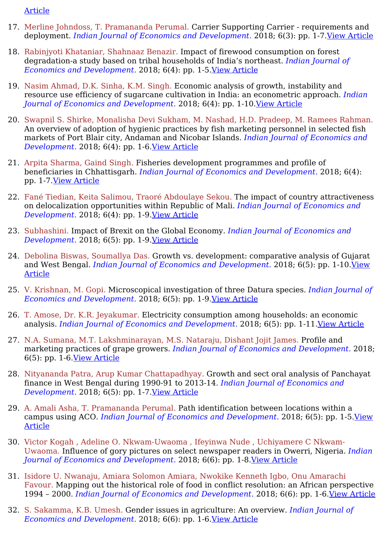#### [Article](https://ijed.in/articles/a-contemporary-view-of-the-economic-growth-in-china)

- 17. Merline Johndoss, T. Pramananda Perumal. Carrier Supporting Carrier requirements and deployment. *Indian Journal of Economics and Development.* 2018; 6(3): pp. 1-7.View [Article](https://ijed.in/articles/carrier-supporting-carrier-requirements-and-deployment)
- 18. Rabinjyoti Khataniar, Shahnaaz Benazir. Impact of firewood consumption on forest degradation-a study based on tribal households of India's northeast. *Indian Journal of Economics and Development.* 2018; 6(4): pp. 1-5.View [Article](https://ijed.in/articles/impact-of-firewood-consumption-on-forest-degradation-a-study-based-on-tribal-households-of-indias-northeast)
- 19. Nasim Ahmad, D.K. Sinha, K.M. Singh. Economic analysis of growth, instability and resource use efficiency of sugarcane cultivation in India: an econometric approach. *Indian Journal of Economics and Development.* 2018; 6(4): pp. 1-10.View [Article](https://ijed.in/articles/economic-analysis-of-growth-instability-and-resource-use-efficiency-of-sugarcane-cultivation-in-india-an-econometric-approach)
- 20. Swapnil S. Shirke, Monalisha Devi Sukham, M. Nashad, H.D. Pradeep, M. Ramees Rahman. An overview of adoption of hygienic practices by fish marketing personnel in selected fish markets of Port Blair city, Andaman and Nicobar Islands. *Indian Journal of Economics and Development.* 2018; 6(4): pp. 1-6.View [Article](https://ijed.in/articles/an-overview-of-adoption-of-hygienic-practices-by-fish-marketing-personnel-in-selected-fish-markets-of-port-blair-city-andaman-and-nicobar-islands)
- 21. Arpita Sharma, Gaind Singh. Fisheries development programmes and profile of beneficiaries in Chhattisgarh. *Indian Journal of Economics and Development.* 2018; 6(4): pp. 1-7.View [Article](https://ijed.in/articles/fisheries-development-programmes-and-profile-of-beneficiaries-in-chhattisgarh)
- 22. Fané Tiedian, Keita Salimou, Traoré Abdoulaye Sekou. The impact of country attractiveness on delocalization opportunities within Republic of Mali. *Indian Journal of Economics and Development.* 2018; 6(4): pp. 1-9.View [Article](https://ijed.in/articles/the-impact-of-country-attractiveness-on-delocalization-opportunities-within-republic-of-mali)
- 23. Subhashini. Impact of Brexit on the Global Economy. *Indian Journal of Economics and Development.* 2018; 6(5): pp. 1-9.View [Article](https://ijed.in/articles/impact-of-brexit-on-the-global-economy)
- 24. Debolina Biswas, Soumallya Das. Growth vs. development: comparative analysis of Gujarat and West Bengal. *Indian Journal of Economics and [Development.](https://ijed.in/articles/growth-vs-development-comparative-analysis-of-gujarat-and-west-bengal)* 2018; 6(5): pp. 1-10.View Article
- 25. V. Krishnan, M. Gopi. Microscopical investigation of three Datura species. *Indian Journal of Economics and Development.* 2018; 6(5): pp. 1-9.View [Article](https://ijed.in/articles/microscopical-investigation-of-three-datura-species)
- 26. T. Amose, Dr. K.R. Jeyakumar. Electricity consumption among households: an economic analysis. *Indian Journal of Economics and Development.* 2018; 6(5): pp. 1-11.View [Article](https://ijed.in/articles/electricity-consumption-among-households-an-economic-analysis)
- 27. N.A. Sumana, M.T. Lakshminarayan, M.S. Nataraju, Dishant Jojit James. Profile and marketing practices of grape growers. *Indian Journal of Economics and Development.* 2018; 6(5): pp. 1-6.View [Article](https://ijed.in/articles/profile-and-marketing-practices-of-grape-growers)
- 28. Nityananda Patra, Arup Kumar Chattapadhyay. Growth and sect oral analysis of Panchayat finance in West Bengal during 1990-91 to 2013-14. *Indian Journal of Economics and Development.* 2018; 6(5): pp. 1-7. <u>View [Article](https://ijed.in/articles/growth-and-sect-oral-analysis-of-panchayat-finance-in-west-bengal-during-1990-91-to-2013-14)</u>
- 29. A. Amali Asha, T. Pramananda Perumal. Path identification between locations within a campus using ACO. *Indian Journal of Economics and [Development.](https://ijed.in/articles/path-identification-between-locations-within-a-campus-using-aco)* 2018; 6(5): pp. 1-5.View Article
- 30. Victor Kogah , Adeline O. Nkwam-Uwaoma , Ifeyinwa Nude , Uchiyamere C Nkwam-Uwaoma. Influence of gory pictures on select newspaper readers in Owerri, Nigeria. *Indian Journal of Economics and Development.* 2018; 6(6): pp. 1-8.View [Article](https://ijed.in/articles/influence-of-gory-pictures-on-select-newspaper-readers-in-owerri-nigeria)
- 31. Isidore U. Nwanaju, Amiara Solomon Amiara, Nwokike Kenneth Igbo, Onu Amarachi Favour. Mapping out the historical role of food in conflict resolution: an African perspective 1994 – 2000. *Indian Journal of Economics and Development.* 2018; 6(6): pp. 1-6.View [Article](https://ijed.in/articles/mapping-out-the-historical-role-of-food-in-conflict-resolution-an-african-perspective-1994-2000)
- 32. S. Sakamma, K.B. Umesh. Gender issues in agriculture: An overview. *Indian Journal of Economics and Development.* 2018; 6(6): pp. 1-6.View [Article](https://ijed.in/articles/gender-issues-in-agriculture-an-overview)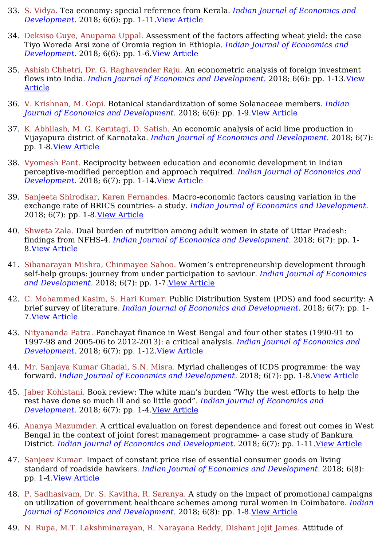- 33. S. Vidya. Tea economy: special reference from Kerala. *Indian Journal of Economics and Development.* 2018; 6(6): pp. 1-11.View [Article](https://ijed.in/articles/tea-economy-special-reference-from-kerala)
- 34. Deksiso Guye, Anupama Uppal. Assessment of the factors affecting wheat yield: the case Tiyo Woreda Arsi zone of Oromia region in Ethiopia. *Indian Journal of Economics and Development.* 2018; 6(6): pp. 1-6.View [Article](https://ijed.in/articles/assessment-of-the-factors-affecting-wheat-yield-the-case-tiyo-woreda-arsi-zone-of-oromia-region-in-ethiopia)
- 35. Ashish Chhetri, Dr. G. Raghavender Raju. An econometric analysis of foreign investment flows into India. *Indian Journal of Economics and [Development.](https://ijed.in/articles/an-econometric-analysis-of-foreign-investment-flows-into-india)* 2018; 6(6): pp. 1-13.View Article
- 36. V. Krishnan, M. Gopi. Botanical standardization of some Solanaceae members. *Indian Journal of Economics and Development.* 2018; 6(6): pp. 1-9.View [Article](https://ijed.in/articles/botanical-standardization-of-some-solanaceae-members)
- 37. K. Abhilash, M. G. Kerutagi, D. Satish. An economic analysis of acid lime production in Vijayapura district of Karnataka. *Indian Journal of Economics and Development.* 2018; 6(7): pp. 1-8.View [Article](https://ijed.in/articles/an-economic-analysis-of-acid-lime-production-in-vijayapura-district-of-karnataka)
- 38. Vyomesh Pant. Reciprocity between education and economic development in Indian perceptive-modified perception and approach required. *Indian Journal of Economics and Development.* 2018; 6(7): pp. 1-14.View [Article](https://ijed.in/articles/reciprocity-between-education-and-economic-development-in-indian-perceptive-modified-perception-and-approach-required)
- 39. Sanjeeta Shirodkar, Karen Fernandes. Macro-economic factors causing variation in the exchange rate of BRICS countries- a study. *Indian Journal of Economics and Development.* 2018; 6(7): pp. 1-8.View [Article](https://ijed.in/articles/macro-economic-factors-causing-variation-in-the-exchange-rate-of-brics-countries-a-study)
- 40. Shweta Zala. Dual burden of nutrition among adult women in state of Uttar Pradesh: findings from NFHS-4. *Indian Journal of Economics and Development.* 2018; 6(7): pp. 1- 8.View [Article](https://ijed.in/articles/dual-burden-of-nutrition-among-adult-women-in-state-of-uttar-pradesh-findings-from-nfhs-4)
- 41. Sibanarayan Mishra, Chinmayee Sahoo. Women's entrepreneurship development through self-help groups: journey from under participation to saviour. *Indian Journal of Economics and Development.* 2018; 6(7): pp. 1-7.View [Article](https://ijed.in/articles/womens-entrepreneurship-development-through-self-help-groups-journey-from-under-participation-to-saviour)
- 42. C. Mohammed Kasim, S. Hari Kumar. Public Distribution System (PDS) and food security: A brief survey of literature. *Indian Journal of Economics and Development.* 2018; 6(7): pp. 1- 7.View [Article](https://ijed.in/articles/public-distribution-system-pds-and-food-security-a-brief-survey-of-literature)
- 43. Nityananda Patra. Panchayat finance in West Bengal and four other states (1990-91 to 1997-98 and 2005-06 to 2012-2013): a critical analysis. *Indian Journal of Economics and Development.* 2018; 6(7): pp. 1-12.View [Article](https://ijed.in/articles/panchayat-finance-in-west-bengal-and-four-other-states-1990-91-to-1997-98-and-2005-06-to-2012-2013-a-critical-analysis)
- 44. Mr. Sanjaya Kumar Ghadai, S.N. Misra. Myriad challenges of ICDS programme: the way forward. *Indian Journal of Economics and Development.* 2018; 6(7): pp. 1-8.View [Article](https://ijed.in/articles/myriad-challenges-of-icds-programme-the-way-forward)
- 45. Jaber Kohistani. Book review: The white man's burden "Why the west efforts to help the rest have done so much ill and so little good". *Indian Journal of Economics and Development.* 2018; 6(7): pp. 1-4.View [Article](https://ijed.in/articles/book-review-the-white-mans-burden-why-the-west-efforts-to-help-the-rest-have-done-so-much-ill-and-so-little-good)
- 46. Ananya Mazumder. A critical evaluation on forest dependence and forest out comes in West Bengal in the context of joint forest management programme- a case study of Bankura District. *Indian Journal of Economics and Development.* 2018; 6(7): pp. 1-11.View [Article](https://ijed.in/articles/a-critical-evaluation-on-forest-dependence-and-forest-out-comes-in-west-bengal-in-the-context-of-joint-forest-management-programme-a-case-study-of-bankura-district)
- 47. Sanjeev Kumar. Impact of constant price rise of essential consumer goods on living standard of roadside hawkers. *Indian Journal of Economics and Development.* 2018; 6(8): pp. 1-4.View [Article](https://ijed.in/articles/impact-of-constant-price-rise-of-essential-consumer-goods-on-living-standard-of-roadside-hawkers)
- 48. P. Sadhasivam, Dr. S. Kavitha, R. Saranya. A study on the impact of promotional campaigns on utilization of government healthcare schemes among rural women in Coimbatore. *Indian Journal of Economics and Development.* 2018; 6(8): pp. 1-8.View [Article](https://ijed.in/articles/a-study-on-the-impact-of-promotional-campaigns-on-utilization-of-government-healthcare-schemes-among-rural-women-in-coimbatore)
- 49. N. Rupa, M.T. Lakshminarayan, R. Narayana Reddy, Dishant Jojit James. Attitude of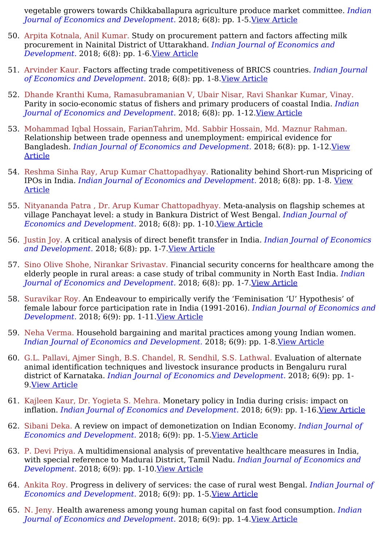vegetable growers towards Chikkaballapura agriculture produce market committee. *Indian Journal of Economics and Development.* 2018; 6(8): pp. 1-5.View [Article](https://ijed.in/articles/attitude-of-vegetable-growers-towards-chikkaballapura-agriculture-produce-market-committee)

- 50. Arpita Kotnala, Anil Kumar. Study on procurement pattern and factors affecting milk procurement in Nainital District of Uttarakhand. *Indian Journal of Economics and Development.* 2018; 6(8): pp. 1-6.View [Article](https://ijed.in/articles/study-on-procurement-pattern-and-factors-affecting-milk-procurement-in-nainital-district-of-uttarakhand)
- 51. Arvinder Kaur. Factors affecting trade competitiveness of BRICS countries. *Indian Journal of Economics and Development.* 2018; 6(8): pp. 1-8.View [Article](https://ijed.in/articles/factors-affecting-trade-competitiveness-of-brics-countries)
- 52. Dhande Kranthi Kuma, Ramasubramanian V, Ubair Nisar, Ravi Shankar Kumar, Vinay. Parity in socio-economic status of fishers and primary producers of coastal India. *Indian Journal of Economics and Development.* 2018; 6(8): pp. 1-12.View [Article](https://ijed.in/articles/parity-in-socio-economic-status-of-fishers-and-primary-producers-of-coastal-india)
- 53. Mohammad Iqbal Hossain, FarianTahrim, Md. Sabbir Hossain, Md. Maznur Rahman. Relationship between trade openness and unemployment: empirical evidence for Bangladesh. *Indian Journal of Economics and [Development.](https://ijed.in/articles/relationship-between-trade-openness-and-unemployment-empirical-evidence-for-bangladesh)* 2018; 6(8): pp. 1-12.View Article
- 54. Reshma Sinha Ray, Arup Kumar Chattopadhyay. Rationality behind Short-run Mispricing of IPOs in India. *Indian Journal of Economics and [Development.](https://ijed.in/articles/rationality-behind-short-run-mispricing-of-ipos-in-india)* 2018; 6(8): pp. 1-8. View Article
- 55. Nityananda Patra , Dr. Arup Kumar Chattopadhyay. Meta-analysis on flagship schemes at village Panchayat level: a study in Bankura District of West Bengal. *Indian Journal of Economics and Development.* 2018; 6(8): pp. 1-10.View [Article](https://ijed.in/articles/meta-analysis-on-flagship-schemes-at-village-panchayat-level-a-study-in-bankura-district-of-west-bengal)
- 56. Justin Joy. A critical analysis of direct benefit transfer in India. *Indian Journal of Economics and Development.* 2018; 6(8): pp. 1-7.View [Article](https://ijed.in/articles/a-critical-analysis-of-direct-benefit-transfer-in-india)
- 57. Sino Olive Shohe, Nirankar Srivastav. Financial security concerns for healthcare among the elderly people in rural areas: a case study of tribal community in North East India. *Indian Journal of Economics and Development.* 2018; 6(8): pp. 1-7.View [Article](https://ijed.in/articles/financial-security-concerns-for-healthcare-among-the-elderly-people-in-rural-areas-a-case-study-of-tribal-community-in-north-east-india)
- 58. Suravikar Roy. An Endeavour to empirically verify the 'Feminisation 'U' Hypothesis' of female labour force participation rate in India (1991-2016). *Indian Journal of Economics and Development.* 2018; 6(9): pp. 1-11.View [Article](https://ijed.in/articles/an-endeavour-to-empirically-verify-the-feminisation-u-hypothesis-of-female-labour-force-participation-rate-in-india-1991-2016)
- 59. Neha Verma. Household bargaining and marital practices among young Indian women. *Indian Journal of Economics and Development.* 2018; 6(9): pp. 1-8.View [Article](https://ijed.in/articles/household-bargaining-and-marital-practices-among-young-indian-women)
- 60. G.L. Pallavi, Ajmer Singh, B.S. Chandel, R. Sendhil, S.S. Lathwal. Evaluation of alternate animal identification techniques and livestock insurance products in Bengaluru rural district of Karnataka. *Indian Journal of Economics and Development.* 2018; 6(9): pp. 1- 9.View [Article](https://ijed.in/articles/evaluation-of-alternate-animal-identification-techniques-and-livestock-insurance-products-in-bengaluru-rural-district-of-karnataka)
- 61. Kajleen Kaur, Dr. Yogieta S. Mehra. Monetary policy in India during crisis: impact on inflation. *Indian Journal of Economics and Development.* 2018; 6(9): pp. 1-16.View [Article](https://ijed.in/articles/monetary-policy-in-india-during-crisis-impact-on-inflation)
- 62. Sibani Deka. A review on impact of demonetization on Indian Economy. *Indian Journal of Economics and Development.* 2018; 6(9): pp. 1-5.View [Article](https://ijed.in/articles/a-review-on-impact-of-demonetization-on-indian-economy)
- 63. P. Devi Priya. A multidimensional analysis of preventative healthcare measures in India, with special reference to Madurai District, Tamil Nadu. *Indian Journal of Economics and Development.* 2018; 6(9): pp. 1-10.View [Article](https://ijed.in/articles/a-multidimensional-analysis-of-preventative-healthcare-measures-in-india-with-special-reference-to-madurai-district-tamil-nadu)
- 64. Ankita Roy. Progress in delivery of services: the case of rural west Bengal. *Indian Journal of Economics and Development.* 2018; 6(9): pp. 1-5.View [Article](https://ijed.in/articles/progress-in-delivery-of-services-the-case-of-rural-west-bengal)
- 65. N. Jeny. Health awareness among young human capital on fast food consumption. *Indian Journal of Economics and Development.* 2018; 6(9): pp. 1-4.View [Article](https://ijed.in/articles/health-awareness-among-young-human-capital-on-fast-food-consumption)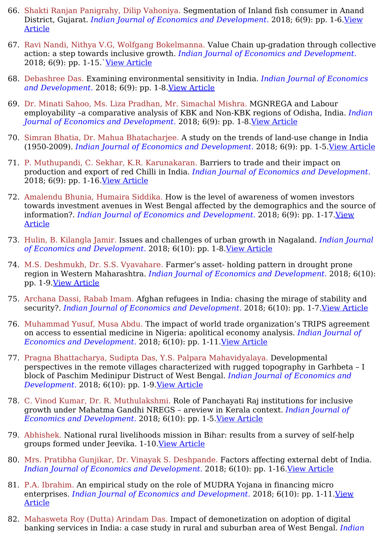- 66. Shakti Ranjan Panigrahy, Dilip Vahoniya. Segmentation of Inland fish consumer in Anand District, Gujarat. *Indian Journal of Economics and [Development.](https://ijed.in/articles/segmentation-of-inland-fish-consumer-in-anand-district-gujarat)* 2018; 6(9): pp. 1-6.View Article
- 67. Ravi Nandi, Nithya V.G, Wolfgang Bokelmanna. Value Chain up-gradation through collective action: a step towards inclusive growth. *Indian Journal of Economics and Development.* 2018; 6(9): pp. 1-15.`View [Article](https://ijed.in/articles/value-chain-up-gradation-through-collective-action-a-step-towards-inclusive-growth)
- 68. Debashree Das. Examining environmental sensitivity in India. *Indian Journal of Economics and Development.* 2018; 6(9): pp. 1-8.View [Article](https://ijed.in/articles/examining-environmental-sensitivity-in-india)
- 69. Dr. Minati Sahoo, Ms. Liza Pradhan, Mr. Simachal Mishra. MGNREGA and Labour employability –a comparative analysis of KBK and Non-KBK regions of Odisha, India. *Indian Journal of Economics and Development.* 2018; 6(9): pp. 1-8.View [Article](https://ijed.in/articles/mgnrega-and-labour-employability-a-comparative-analysis-of-kbk-and-non-kbk-regions-of-odisha-india)
- 70. Simran Bhatia, Dr. Mahua Bhatacharjee. A study on the trends of land-use change in India (1950-2009). *Indian Journal of Economics and Development.* 2018; 6(9): pp. 1-5.View [Article](https://ijed.in/articles/a-study-on-the-trends-of-land-use-change-in-india-1950-2009)
- 71. P. Muthupandi, C. Sekhar, K.R. Karunakaran. Barriers to trade and their impact on production and export of red Chilli in India. *Indian Journal of Economics and Development.* 2018; 6(9): pp. 1-16.View [Article](https://ijed.in/articles/barriers-to-trade-and-their-impact-on-production-and-export-of-red-chilli-in-india)
- 72. Amalendu Bhunia, Humaira Siddika. How is the level of awareness of women investors towards investment avenues in West Bengal affected by the demographics and the source of information?. *Indian Journal of Economics and [Development.](https://ijed.in/articles/how-is-the-level-of-awareness-of-women-investors-towards-investment-avenues-in-west-bengal-affected-by-the-demographics-and-the-source-of-information)* 2018; 6(9): pp. 1-17.View Article
- 73. Hulin, B. Kilangla Jamir. Issues and challenges of urban growth in Nagaland. *Indian Journal of Economics and Development.* 2018; 6(10): pp. 1-8.View [Article](https://ijed.in/articles/issues-and-challenges-of-urban-growth-in-nagaland)
- 74. M.S. Deshmukh, Dr. S.S. Vyavahare. Farmer's asset- holding pattern in drought prone region in Western Maharashtra. *Indian Journal of Economics and Development.* 2018; 6(10): pp. 1-9.View [Article](https://ijed.in/articles/farmers-asset-holding-pattern-in-drought-prone-region-in-western-maharashtra)
- 75. Archana Dassi, Rabab Imam. Afghan refugees in India: chasing the mirage of stability and security?. *Indian Journal of Economics and Development.* 2018; 6(10): pp. 1-7.View [Article](https://ijed.in/articles/afghan-refugees-in-india-chasing-the-mirage-of-stability-and-security)
- 76. Muhammad Yusuf, Musa Abdu. The impact of world trade organization's TRIPS agreement on access to essential medicine in Nigeria: apolitical economy analysis. *Indian Journal of Economics and Development.* 2018; 6(10): pp. 1-11.View [Article](https://ijed.in/articles/the-impact-of-world-trade-organizations-trips-agreement-on-access-to-essential-medicine-in-nigeria-apolitical-economy-analysis)
- 77. Pragna Bhattacharya, Sudipta Das, Y.S. Palpara Mahavidyalaya. Developmental perspectives in the remote villages characterized with rugged topography in Garhbeta – I block of Paschim Medinipur Distruct of West Bengal. *Indian Journal of Economics and Development.* 2018; 6(10): pp. 1-9.View [Article](https://ijed.in/articles/developmental-perspectives-in-the-remote-villages-characterized-with-rugged-topography-in-garhbeta-i-block-of-paschim-medinipur-distruct-of-west-bengal)
- 78. C. Vinod Kumar, Dr. R. Muthulakshmi. Role of Panchayati Raj institutions for inclusive growth under Mahatma Gandhi NREGS – areview in Kerala context. *Indian Journal of Economics and Development.* 2018; 6(10): pp. 1-5.View [Article](https://ijed.in/articles/role-of-panchayati-raj-institutions-for-inclusive-growth-under-mahatma-gandhi-nregs-areview-in-kerala-context)
- 79. Abhishek. National rural livelihoods mission in Bihar: results from a survey of self-help groups formed under Jeevika. 1-10.View [Article](https://ijed.in/articles/national-rural-livelihoods-mission-in-bihar-results-from-a-survey-of-self-help-groups-formed-under-jeevika)
- 80. Mrs. Pratibha Gunjikar, Dr. Vinayak S. Deshpande. Factors affecting external debt of India. *Indian Journal of Economics and Development.* 2018; 6(10): pp. 1-16.View [Article](https://ijed.in/articles/factors-affecting-external-debt-of-india)
- 81. P.A. Ibrahim. An empirical study on the role of MUDRA Yojana in financing micro enterprises. *Indian Journal of Economics and [Development.](https://ijed.in/articles/an-empirical-study-on-the-role-of-mudra-yojana-in-financing-micro-enterprises)* 2018; 6(10): pp. 1-11.View Article
- 82. Mahasweta Roy (Dutta) Arindam Das. Impact of demonetization on adoption of digital banking services in India: a case study in rural and suburban area of West Bengal. *Indian*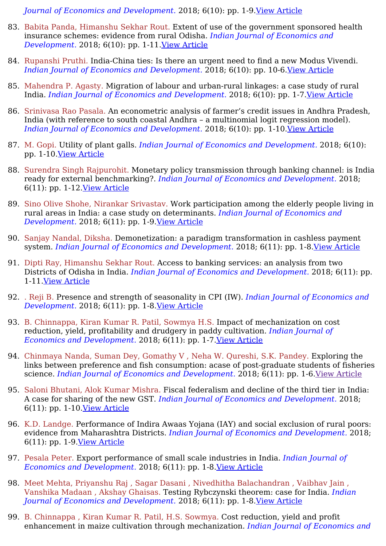*Journal of Economics and Development.* 2018; 6(10): pp. 1-9.View [Article](https://ijed.in/articles/impact-of-demonetization-on-adoption-of-digital-banking-services-in-india-a-case-study-in-rural-and-suburban-area-of-west-bengal)

- 83. Babita Panda, Himanshu Sekhar Rout. Extent of use of the government sponsored health insurance schemes: evidence from rural Odisha. *Indian Journal of Economics and Development.* 2018; 6(10): pp. 1-11.View [Article](https://ijed.in/articles/extent-of-use-of-the-government-sponsored-health-insurance-schemes-evidence-from-rural-odisha)
- 84. Rupanshi Pruthi. India-China ties: Is there an urgent need to find a new Modus Vivendi. *Indian Journal of Economics and Development.* 2018; 6(10): pp. 10-6.View [Article](https://ijed.in/articles/india-china-ties-is-there-an-urgent-need-to-find-a-new-modus-vivendi)
- 85. Mahendra P. Agasty. Migration of labour and urban-rural linkages: a case study of rural India. *Indian Journal of Economics and Development.* 2018; 6(10): pp. 1-7.View [Article](https://ijed.in/articles/migration-of-labour-and-urban-rural-linkages-a-case-study-of-rural-india)
- 86. Srinivasa Rao Pasala. An econometric analysis of farmer's credit issues in Andhra Pradesh, India (with reference to south coastal Andhra – a multinomial logit regression model). *Indian Journal of Economics and Development.* 2018; 6(10): pp. 1-10.View [Article](https://ijed.in/articles/an-econometric-analysis-of-farmers-credit-issues-in-andhra-pradesh-india-with-reference-to-south-coastal-andhra-a-multinomial-logit-regression-model)
- 87. M. Gopi. Utility of plant galls. *Indian Journal of Economics and Development.* 2018; 6(10): pp. 1-10.View [Article](https://ijed.in/articles/utility-of-plant-galls)
- 88. Surendra Singh Rajpurohit. Monetary policy transmission through banking channel: is India ready for external benchmarking?. *Indian Journal of Economics and Development.* 2018; 6(11): pp. 1-12.View [Article](https://ijed.in/articles/monetary-policy-transmission-through-banking-channel-is-india-ready-for-external-benchmarking)
- 89. Sino Olive Shohe, Nirankar Srivastav. Work participation among the elderly people living in rural areas in India: a case study on determinants. *Indian Journal of Economics and Development.* 2018; 6(11): pp. 1-9.View [Article](https://ijed.in/articles/work-participation-among-the-elderly-people-living-in-rural-areas-in-india-a-case-study-on-determinants)
- 90. Sanjay Nandal, Diksha. Demonetization: a paradigm transformation in cashless payment system. *Indian Journal of Economics and Development.* 2018; 6(11): pp. 1-8.View [Article](https://ijed.in/articles/demonetization-a-paradigm-transformation-in-cashless-payment-system)
- 91. Dipti Ray, Himanshu Sekhar Rout. Access to banking services: an analysis from two Districts of Odisha in India. *Indian Journal of Economics and Development.* 2018; 6(11): pp. 1-11.View [Article](https://ijed.in/articles/access-to-banking-services-an-analysis-from-two-districts-of-odisha-in-india)
- 92. . Reji B. Presence and strength of seasonality in CPI (IW). *Indian Journal of Economics and Development.* 2018; 6(11): pp. 1-8.View [Article](https://ijed.in/articles/presence-and-strength-of-seasonality-in-cpi-iw)
- 93. B. Chinnappa, Kiran Kumar R. Patil, Sowmya H.S. Impact of mechanization on cost reduction, yield, profitability and drudgery in paddy cultivation. *Indian Journal of Economics and Development.* 2018; 6(11): pp. 1-7.View [Article](https://ijed.in/articles/impact-of-mechanization-on-cost-reduction-yield-profitability-and-drudgery-in-paddy-cultivation)
- 94. Chinmaya Nanda, Suman Dey, Gomathy V , Neha W. Qureshi, S.K. Pandey. Exploring the links between preference and fish consumption: acase of post-graduate students of fisheries science. *Indian Journal of Economics and Development.* 2018; 6(11): pp. 1-6.View [Article](https://html2pdf.com/files/86u5i1vc387u13u5/file_a0e1jkc1t8i149l7gj1h0gkg28/All%20published%20articles-IJED.html)
- 95. Saloni Bhutani, Alok Kumar Mishra. Fiscal federalism and decline of the third tier in India: A case for sharing of the new GST. *Indian Journal of Economics and Development.* 2018; 6(11): pp. 1-10.View [Article](https://ijed.in/articles/fiscal-federalism-and-decline-of-the-third-tier-in-india-a-case-for-sharing-of-the-new-gst)
- 96. K.D. Landge. Performance of Indira Awaas Yojana (IAY) and social exclusion of rural poors: evidence from Maharashtra Districts. *Indian Journal of Economics and Development.* 2018; 6(11): pp. 1-9.View [Article](https://ijed.in/articles/performance-of-indira-awaas-yojana-iay-and-social-exclusion-of-rural-poors-evidence-from-maharashtra-districts)
- 97. Pesala Peter. Export performance of small scale industries in India. *Indian Journal of Economics and Development.* 2018; 6(11): pp. 1-8.View [Article](https://ijed.in/articles/export-performance-of-small-scale-industries-in-india)
- 98. Meet Mehta, Priyanshu Raj , Sagar Dasani , Nivedhitha Balachandran , Vaibhav Jain , Vanshika Madaan , Akshay Ghaisas. Testing Rybczynski theorem: case for India. *Indian Journal of Economics and Development.* 2018; 6(11): pp. 1-8.View [Article](https://ijed.in/articles/testing-rybczynski-theorem-case-for-india)
- 99. B. Chinnappa , Kiran Kumar R. Patil, H.S. Sowmya. Cost reduction, yield and profit enhancement in maize cultivation through mechanization. *Indian Journal of Economics and*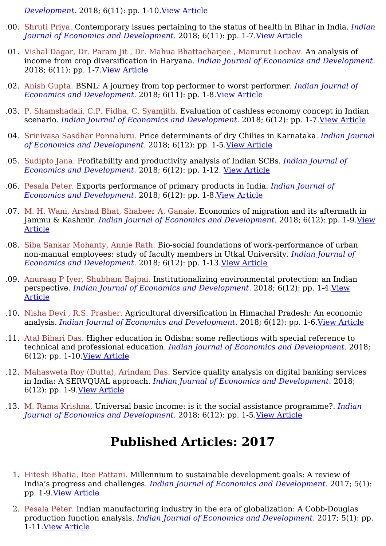*Development.* 2018; 6(11): pp. 1-10.View [Article](https://ijed.in/articles/cost-reduction-yield-and-profit-enhancement-in-maize-cultivation-through-mechanization)

- 100. Shruti Priya. Contemporary issues pertaining to the status of health in Bihar in India. *Indian Journal of Economics and Development.* 2018; 6(11): pp. 1-7.View [Article](https://ijed.in/articles/contemporary-issues-pertaining-to-the-status-of-health-in-bihar-in-india)
- 101. Vishal Dagar, Dr. Param Jit , Dr. Mahua Bhattacharjee , Manurut Lochav. An analysis of income from crop diversification in Haryana. *Indian Journal of Economics and Development.* 2018; 6(11): pp. 1-7.View [Article](https://ijed.in/articles/an-analysis-of-income-from-crop-diversification-in-haryana)
- 102. Anish Gupta. BSNL: A journey from top performer to worst performer. *Indian Journal of Economics and Development.* 2018; 6(11): pp. 1-8.View [Article](https://ijed.in/articles/bsnl-a-journey-from-top-performer-to-worst-performer)
- 103. P. Shamshadali, C.P. Fidha, C. Syamjith. Evaluation of cashless economy concept in Indian scenario. *Indian Journal of Economics and Development.* 2018; 6(12): pp. 1-7.View [Article](https://ijed.in/articles/evaluation-of-cashless-economy-concept-in-indian-scenario)
- 104. Srinivasa Sasdhar Ponnaluru. Price determinants of dry Chilies in Karnataka. *Indian Journal of Economics and Development.* 2018; 6(12): pp. 1-5.View [Article](https://ijed.in/articles/price-determinants-of-dry-chilies-in-karnataka)
- 105. Sudipto Jana. Profitability and productivity analysis of Indian SCBs. *Indian Journal of Economics and Development.* 2018; 6(12): pp. 1-12. View [Article](https://ijed.in/articles/profitability-and-productivity-analysis-of-indian-scbs)
- 106. Pesala Peter. Exports performance of primary products in India. *Indian Journal of Economics and Development.* 2018; 6(12): pp. 1-8.View [Article](https://ijed.in/articles/exports-performance-of-primary-products-in-india)
- 107. M. H. Wani, Arshad Bhat, Shabeer A. Ganaie. Economics of migration and its aftermath in Jammu & Kashmir. *Indian Journal of Economics and [Development.](https://ijed.in/articles/economics-of-migration-and-its-aftermath-in-jammu-kashmir)* 2018; 6(12): pp. 1-9.View Article
- 108. Siba Sankar Mohanty, Annie Rath. Bio-social foundations of work-performance of urban non-manual employees: study of faculty members in Utkal University. *Indian Journal of Economics and Development.* 2018; 6(12): pp. 1-13.View [Article](https://ijed.in/articles/bio-social-foundations-of-work-performance-of-urban-non-manual-employees-study-of-faculty-members-in-utkal-university)
- 109. Anuraag P Iyer, Shubham Bajpai. Institutionalizing environmental protection: an Indian perspective. *Indian Journal of Economics and [Development.](https://ijed.in/articles/institutionalizing-environmental-protection-an-indian-perspective)* 2018; 6(12): pp. 1-4.View Article
- 110. Nisha Devi , R.S. Prasher. Agricultural diversification in Himachal Pradesh: An economic analysis. *Indian Journal of Economics and Development.* 2018; 6(12): pp. 1-6.View [Article](https://ijed.in/articles/agricultural-diversification-in-himachal-pradesh-an-economic-analysis)
- 111. Atal Bihari Das. Higher education in Odisha: some reflections with special reference to technical and professional education. *Indian Journal of Economics and Development.* 2018; 6(12): pp. 1-10.View [Article](https://ijed.in/articles/higher-education-in-odisha-some-reflections-with-special-reference-to-technical-and-professional-education)
- 112. Mahasweta Roy (Dutta), Arindam Das. Service quality analysis on digital banking services in India: A SERVQUAL approach. *Indian Journal of Economics and Development.* 2018; 6(12): pp. 1-9.View [Article](https://ijed.in/articles/service-quality-analysis-on-digital-banking-services-in-india-a-servqual-approach)
- 113. M. Rama Krishna. Universal basic income: is it the social assistance programme?. *Indian Journal of Economics and Development.* 2018; 6(12): pp. 1-5.View [Article](https://ijed.in/articles/universal-basic-income-is-it-the-social-assistance-programme)

- 1. Hitesh Bhatia, Itee Pattani. Millennium to sustainable development goals: A review of India's progress and challenges. *Indian Journal of Economics and Development.* 2017; 5(1): pp. 1-9.View [Article](https://ijed.in/articles/millennium-to-sustainable-development-goals-a-review-of-indias-progress-and-challenges)
- 2. Pesala Peter. Indian manufacturing industry in the era of globalization: A Cobb-Douglas production function analysis. *Indian Journal of Economics and Development.* 2017; 5(1): pp. 1-11.View [Article](https://ijed.in/articles/indian-manufacturing-industry-in-the-era-of-globalization-a-cobb-douglas-production-function-analysis)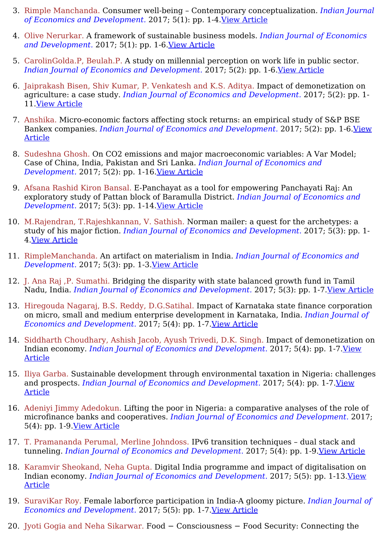- 3. Rimple Manchanda. Consumer well-being Contemporary conceptualization. *Indian Journal of Economics and Development.* 2017; 5(1): pp. 1-4.View [Article](https://ijed.in/articles/consumer-well-being-contemporary-conceptualization)
- 4. Olive Nerurkar. A framework of sustainable business models. *Indian Journal of Economics and Development.* 2017; 5(1): pp. 1-6.View [Article](https://ijed.in/articles/a-framework-of-sustainable-business-models)
- 5. CarolinGolda.P, Beulah.P. A study on millennial perception on work life in public sector. *Indian Journal of Economics and Development.* 2017; 5(2): pp. 1-6.View [Article](https://ijed.in/articles/a-study-on-millennial-perception-on-work-life-in-public-sector)
- 6. Jaiprakash Bisen, Shiv Kumar, P. Venkatesh and K.S. Aditya. Impact of demonetization on agriculture: a case study. *Indian Journal of Economics and Development.* 2017; 5(2): pp. 1- 11.View [Article](https://ijed.in/articles/impact-of-demonetization-on-agriculture-a-case-study)
- 7. Anshika. Micro-economic factors affecting stock returns: an empirical study of S&P BSE Bankex companies. *Indian Journal of Economics and [Development.](https://ijed.in/articles/micro-economic-factors-affecting-stock-returns-an-empirical-study-of-sp-bse-bankex-companies)* 2017; 5(2): pp. 1-6.View Article
- 8. Sudeshna Ghosh. On CO2 emissions and major macroeconomic variables: A Var Model; Case of China, India, Pakistan and Sri Lanka. *Indian Journal of Economics and Development.* 2017; 5(2): pp. 1-16.View [Article](https://ijed.in/articles/on-co2-emissions-and-major-macroeconomic-variables-a-var-model-case-of-china-india-pakistan-and-sri-lanka)
- 9. Afsana Rashid Kiron Bansal. E-Panchayat as a tool for empowering Panchayati Raj: An exploratory study of Pattan block of Baramulla District. *Indian Journal of Economics and Development.* 2017; 5(3): pp. 1-14.View [Article](https://ijed.in/articles/e-panchayat-as-a-tool-for-empowering-panchayati-raj-an-exploratory-study-of-pattan-block-of-baramulla-district)
- 10. M.Rajendran, T.Rajeshkannan, V. Sathish. Norman mailer: a quest for the archetypes: a study of his major fiction. *Indian Journal of Economics and Development.* 2017; 5(3): pp. 1- 4.View [Article](https://ijed.in/articles/norman-mailer-a-quest-for-the-archetypes-a-study-of-his-major-fiction)
- 11. RimpleManchanda. An artifact on materialism in India. *Indian Journal of Economics and Development.* 2017; 5(3): pp. 1-3.View [Article](https://ijed.in/articles/an-artifact-on-materialism-in-india)
- 12. J. Ana Raj ,P. Sumathi. Bridging the disparity with state balanced growth fund in Tamil Nadu, India. *Indian Journal of Economics and Development.* 2017; 5(3): pp. 1-7.View [Article](https://ijed.in/articles/bridging-the-disparity-with-state-balanced-growth-fund-in-tamil-nadu-india)
- 13. Hiregouda Nagaraj, B.S. Reddy, D.G.Satihal. Impact of Karnataka state finance corporation on micro, small and medium enterprise development in Karnataka, India. *Indian Journal of Economics and Development.* 2017; 5(4): pp. 1-7.View [Article](https://ijed.in/articles/impact-of-karnataka-state-finance-corporation-on-micro-small-and-medium-enterprise-development-in-karnataka-india)
- 14. Siddharth Choudhary, Ashish Jacob, Ayush Trivedi, D.K. Singh. Impact of demonetization on Indian economy. *Indian Journal of Economics and [Development.](https://ijed.in/articles/impact-of-demonetization-on-indian-economy)* 2017; 5(4): pp. 1-7.View Article
- 15. Iliya Garba. Sustainable development through environmental taxation in Nigeria: challenges and prospects. *Indian Journal of Economics and [Development.](https://ijed.in/articles/sustainable-development-through-environmental-taxation-in-nigeria-challenges-and-prospects)* 2017; 5(4): pp. 1-7.View Article
- 16. Adeniyi Jimmy Adedokun. Lifting the poor in Nigeria: a comparative analyses of the role of microfinance banks and cooperatives. *Indian Journal of Economics and Development.* 2017; 5(4): pp. 1-9.View [Article](https://ijed.in/articles/lifting-the-poor-in-nigeria-a-comparative-analyses-of-the-role-of-microfinance-banks-and-cooperatives)
- 17. T. Pramananda Perumal, Merline Johndoss. IPv6 transition techniques dual stack and tunneling. *Indian Journal of Economics and Development.* 2017; 5(4): pp. 1-9.View [Article](https://ijed.in/articles/ipv6-transition-techniques-dual-stack-and-tunneling)
- 18. Karamvir Sheokand, Neha Gupta. Digital India programme and impact of digitalisation on Indian economy. *Indian Journal of Economics and [Development.](https://ijed.in/articles/digital-india-programme-and-impact-of-digitalisation-on-indian-economy)* 2017; 5(5): pp. 1-13.View Article
- 19. SuraviKar Roy. Female laborforce participation in India-A gloomy picture. *Indian Journal of Economics and Development.* 2017; 5(5): pp. 1-7.View [Article](https://ijed.in/articles/female-laborforce-participation-in-india-a-gloomy-picture)
- 20. Jyoti Gogia and Neha Sikarwar. Food − Consciousness − Food Security: Connecting the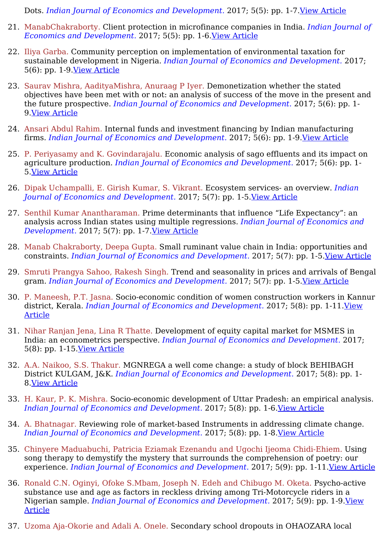Dots. *Indian Journal of Economics and Development.* 2017; 5(5): pp. 1-7.View [Article](https://ijed.in/articles/food-consciousness-food-security-connecting-the-dots)

- 21. ManabChakraborty. Client protection in microfinance companies in India. *Indian Journal of Economics and Development.* 2017; 5(5): pp. 1-6.View [Article](https://ijed.in/articles/client-protection-in-microfinance-companies-in-india)
- 22. Iliya Garba. Community perception on implementation of environmental taxation for sustainable development in Nigeria. *Indian Journal of Economics and Development.* 2017; 5(6): pp. 1-9.View [Article](https://ijed.in/articles/community-perception-on-implementation-of-environmental-taxation-for-sustainable-development-in-nigeria)
- 23. Saurav Mishra, AadityaMishra, Anuraag P Iyer. Demonetization whether the stated objectives have been met with or not: an analysis of success of the move in the present and the future prospective. *Indian Journal of Economics and Development.* 2017; 5(6): pp. 1- 9.View [Article](https://ijed.in/articles/demonetization-whether-the-stated-objectives-have-been-met-with-or-not-an-analysis-of-success-of-the-move-in-the-present-and-the-future-prospective)
- 24. Ansari Abdul Rahim. Internal funds and investment financing by Indian manufacturing firms. *Indian Journal of Economics and Development.* 2017; 5(6): pp. 1-9.View [Article](https://ijed.in/articles/internal-funds-and-investment-financing-by-indian-manufacturing-firms)
- 25. P. Periyasamy and K. Govindarajalu. Economic analysis of sago effluents and its impact on agriculture production. *Indian Journal of Economics and Development.* 2017; 5(6): pp. 1- 5.View [Article](https://ijed.in/articles/economic-analysis-of-sago-effluents-and-its-impact-on-agriculture-production)
- 26. Dipak Uchampalli, E. Girish Kumar, S. Vikrant. Ecosystem services- an overview. *Indian Journal of Economics and Development.* 2017; 5(7): pp. 1-5.View [Article](https://ijed.in/articles/ecosystem-services-an-overview)
- 27. Senthil Kumar Anantharaman. Prime determinants that influence "Life Expectancy": an analysis across Indian states using multiple regressions. *Indian Journal of Economics and Development.* 2017; 5(7): pp. 1-7.View [Article](https://ijed.in/articles/prime-determinants-that-influence-life-expectancy-an-analysis-across-indian-states-using-multiple-regressions)
- 28. Manab Chakraborty, Deepa Gupta. Small ruminant value chain in India: opportunities and constraints. *Indian Journal of Economics and Development.* 2017; 5(7): pp. 1-5.View [Article](https://ijed.in/articles/small-ruminant-value-chain-in-india-opportunities-and-constraints)
- 29. Smruti Prangya Sahoo, Rakesh Singh. Trend and seasonality in prices and arrivals of Bengal gram. *Indian Journal of Economics and Development.* 2017; 5(7): pp. 1-5.View [Article](https://ijed.in/articles/trend-and-seasonality-in-prices-and-arrivals-of-bengal-gram)
- 30. P. Maneesh, P.T. Jasna. Socio-economic condition of women construction workers in Kannur district, Kerala. *Indian Journal of Economics and [Development.](https://ijed.in/articles/socio-economic-condition-of-women-construction-workers-in-kannur-district-kerala)* 2017; 5(8): pp. 1-11.View Article
- 31. Nihar Ranjan Jena, Lina R Thatte. Development of equity capital market for MSMES in India: an econometrics perspective. *Indian Journal of Economics and Development.* 2017; 5(8): pp. 1-15.View [Article](https://ijed.in/articles/development-of-equity-capital-market-for-msmes-in-india-an-econometrics-perspective)
- 32. A.A. Naikoo, S.S. Thakur. MGNREGA a well come change: a study of block BEHIBAGH District KULGAM, J&K. *Indian Journal of Economics and Development.* 2017; 5(8): pp. 1- 8.View [Article](https://ijed.in/articles/mgnrega-a-well-come-change-a-study-of-block-behibagh-district-kulgam-jk)
- 33. H. Kaur, P. K. Mishra. Socio-economic development of Uttar Pradesh: an empirical analysis. *Indian Journal of Economics and Development.* 2017; 5(8): pp. 1-6.View [Article](https://ijed.in/articles/socio-economic-development-of-uttar-pradesh-an-empirical-analysis)
- 34. A. Bhatnagar. Reviewing role of market-based Instruments in addressing climate change. *Indian Journal of Economics and Development.* 2017; 5(8): pp. 1-8.View [Article](https://ijed.in/articles/reviewing-role-of-market-based-instruments-in-addressing-climate-change)
- 35. Chinyere Maduabuchi, Patricia Eziamak Ezenandu and Ugochi Ijeoma Chidi-Ehiem. Using song therapy to demystify the mystery that surrounds the comprehension of poetry: our experience. *Indian Journal of Economics and Development.* 2017; 5(9): pp. 1-11.View [Article](https://ijed.in/articles/using-song-therapy-to-demystify-the-mystery-that-surrounds-the-comprehension-of-poetry-our-experience)
- 36. Ronald C.N. Oginyi, Ofoke S.Mbam, Joseph N. Edeh and Chibugo M. Oketa. Psycho-active substance use and age as factors in reckless driving among Tri-Motorcycle riders in a Nigerian sample. *Indian Journal of Economics and [Development.](https://ijed.in/articles/psycho-active-substance-use-and-age-as-factors-in-reckless-driving-among-tri-motorcycle-riders-in-a-nigerian-sample)* 2017; 5(9): pp. 1-9.View Article
- 37. Uzoma Aja-Okorie and Adali A. Onele. Secondary school dropouts in OHAOZARA local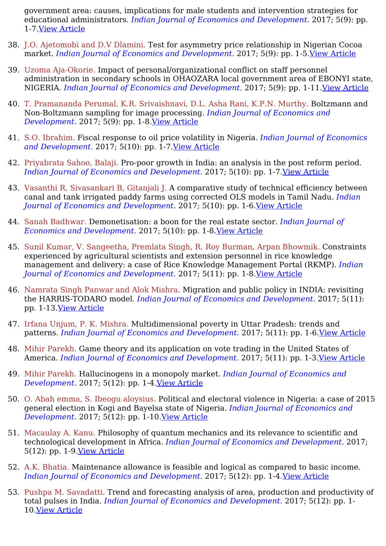government area: causes, implications for male students and intervention strategies for educational administrators. *Indian Journal of Economics and Development.* 2017; 5(9): pp. 1-7.View [Article](https://ijed.in/articles/secondary-school-dropouts-in-ohaozara-local-government-area-causes-implications-for-male-students-and-intervention-strategies-for-educational-administrators)

- 38. J.O. Ajetomobi and D.V Dlamini. Test for asymmetry price relationship in Nigerian Cocoa market. *Indian Journal of Economics and Development.* 2017; 5(9): pp. 1-5.View [Article](https://ijed.in/articles/test-for-asymmetry-price-relationship-in-nigerian-cocoa-market)
- 39. Uzoma Aja-Okorie. Impact of personal/organizational conflict on staff personnel administration in secondary schools in OHAOZARA local government area of EBONYI state, NIGERIA. *Indian Journal of Economics and Development.* 2017; 5(9): pp. 1-11.View [Article](https://ijed.in/articles/impact-of-personalorganizational-conflict-on-staff-personnel-administration-in-secondary-schools-in-ohaozara-local-government-area-of-ebonyi-state-nigeria)
- 40. T. Pramananda Perumal, K.R. Srivaishnavi, D.L. Asha Rani, K.P.N. Murthy. Boltzmann and Non-Boltzmann sampling for image processing. *Indian Journal of Economics and Development.* 2017; 5(9): pp. 1-8.View [Article](https://ijed.in/articles/boltzmann-and-non-boltzmann-sampling-for-image-processing)
- 41. S.O. Ibrahim. Fiscal response to oil price volatility in Nigeria. *Indian Journal of Economics and Development.* 2017; 5(10): pp. 1-7.View [Article](https://ijed.in/articles/fiscal-response-to-oil-price-volatility-in-nigeria)
- 42. Priyabrata Sahoo, Balaji. Pro-poor growth in India: an analysis in the post reform period. *Indian Journal of Economics and Development.* 2017; 5(10): pp. 1-7.View [Article](https://ijed.in/articles/pro-poor-growth-in-india-an-analysis-in-the-post-reform-period)
- 43. Vasanthi R, Sivasankari B, Gitanjali J. A comparative study of technical efficiency between canal and tank irrigated paddy farms using corrected OLS models in Tamil Nadu. *Indian Journal of Economics and Development.* 2017; 5(10): pp. 1-6.View [Article](https://ijed.in/articles/a-comparative-study-of-technical-efficiency-between-canal-and-tank-irrigated-paddy-farms-using-corrected-ols-models-in-tamil-nadu)
- 44. Sanah Badhwar. Demonetisation: a boon for the real estate sector. *Indian Journal of Economics and Development.* 2017; 5(10): pp. 1-8.View [Article](https://ijed.in/articles/demonetisation-a-boon-for-the-real-estate-sector)
- 45. Sunil Kumar, V. Sangeetha, Premlata Singh, R. Roy Burman, Arpan Bhowmik. Constraints experienced by agricultural scientists and extension personnel in rice knowledge management and delivery: a case of Rice Knowledge Management Portal (RKMP). *Indian Journal of Economics and Development.* 2017; 5(11): pp. 1-8.View [Article](https://ijed.in/articles/constraints-experienced-by-agricultural-scientists-and-extension-personnel-in-rice-knowledge-management-and-delivery-a-case-of-rice-knowledge-management-portal-rkmp)
- 46. Namrata Singh Panwar and Alok Mishra. Migration and public policy in INDIA: revisiting the HARRIS-TODARO model. *Indian Journal of Economics and Development.* 2017; 5(11): pp. 1-13.View [Article](https://ijed.in/articles/migration-and-public-policy-in-india-revisiting-the-harris-todaro-model)
- 47. Irfana Unjum, P. K. Mishra. Multidimensional poverty in Uttar Pradesh: trends and patterns. *Indian Journal of Economics and Development.* 2017; 5(11): pp. 1-6.View [Article](https://ijed.in/articles/multidimensional-poverty-in-uttar-pradesh-trends-and-patterns)
- 48. Mihir Parekh. Game theory and its application on vote trading in the United States of America. *Indian Journal of Economics and Development.* 2017; 5(11): pp. 1-3.View [Article](https://ijed.in/articles/game-theory-and-its-application-on-vote-trading-in-the-united-states-of-america)
- 49. Mihir Parekh. Hallucinogens in a monopoly market. *Indian Journal of Economics and Development.* 2017; 5(12): pp. 1-4.View [Article](https://ijed.in/articles/hallucinogens-in-a-monopoly-market)
- 50. O. Abah emma, S. Ibeogu aloysius. Political and electoral violence in Nigeria: a case of 2015 general election in Kogi and Bayelsa state of Nigeria. *Indian Journal of Economics and Development.* 2017; 5(12): pp. 1-10.View [Article](https://ijed.in/articles/political-and-electoral-violence-in-nigeria-a-case-of-2015-general-election-in-kogi-and-bayelsa-state-of-nigeria)
- 51. Macaulay A. Kanu. Philosophy of quantum mechanics and its relevance to scientific and technological development in Africa. *Indian Journal of Economics and Development.* 2017; 5(12): pp. 1-9.View [Article](https://ijed.in/articles/philosophy-of-quantum-mechanics-and-its-relevance-to-scientific-and-technological-development-in-africa)
- 52. A.K. Bhatia. Maintenance allowance is feasible and logical as compared to basic income. *Indian Journal of Economics and Development.* 2017; 5(12): pp. 1-4.View [Article](https://ijed.in/articles/maintenance-allowance-is-feasible-and-logical-as-compared-to-basic-income)
- 53. Pushpa M. Savadatti. Trend and forecasting analysis of area, production and productivity of total pulses in India. *Indian Journal of Economics and Development.* 2017; 5(12): pp. 1- 10.View [Article](https://ijed.in/articles/trend-and-forecasting-analysis-of-area-production-and-productivity-of-total-pulses-in-india)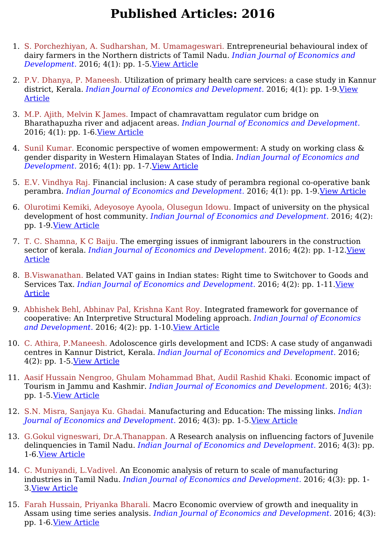- 1. S. Porchezhiyan, A. Sudharshan, M. Umamageswari. Entrepreneurial behavioural index of dairy farmers in the Northern districts of Tamil Nadu. *Indian Journal of Economics and Development.* 2016; 4(1): pp. 1-5.View [Article](https://ijed.in/articles/entrepreneurial-behavioural-index-of-dairy-farmers-in-the-northern-districts-of-tamil-nadu)
- 2. P.V. Dhanya, P. Maneesh. Utilization of primary health care services: a case study in Kannur district, Kerala. *Indian Journal of Economics and [Development.](https://ijed.in/articles/utilization-of-primary-health-care-services-a-case-study-in-kannur-district-kerala)* 2016; 4(1): pp. 1-9.View Article
- 3. M.P. Ajith, Melvin K James. Impact of chamravattam regulator cum bridge on Bharathapuzha river and adjacent areas. *Indian Journal of Economics and Development.* 2016; 4(1): pp. 1-6.View [Article](https://ijed.in/articles/impact-of-chamravattam-regulator-cum-bridge-on-bharathapuzha-river-and-adjacent-areas)
- 4. Sunil Kumar. Economic perspective of women empowerment: A study on working class & gender disparity in Western Himalayan States of India. *Indian Journal of Economics and Development.* 2016; 4(1): pp. 1-7.View [Article](https://ijed.in/articles/economic-perspective-of-women-empowerment-a-study-on-working-class-gender-disparity-in-western-himalayan-states-of-india)
- 5. E.V. Vindhya Raj. Financial inclusion: A case study of perambra regional co-operative bank perambra. *Indian Journal of Economics and Development.* 2016; 4(1): pp. 1-9.View [Article](https://ijed.in/articles/financial-inclusion-a-case-study-of-perambra-regional-co-operative-bank-perambra)
- 6. Olurotimi Kemiki, Adeyosoye Ayoola, Olusegun Idowu. Impact of university on the physical development of host community. *Indian Journal of Economics and Development.* 2016; 4(2): pp. 1-9.View [Article](https://ijed.in/articles/-impact-of-university-on-the-physical-development-of-host-community)
- 7. T. C. Shamna, K C Baiju. The emerging issues of inmigrant labourers in the construction sector of kerala. *Indian Journal of Economics and [Development.](https://ijed.in/articles/the-emerging-issues-of-inmigrant-labourers-in-the-construction-sector-of-kerala)* 2016; 4(2): pp. 1-12.View Article
- 8. B.Viswanathan. Belated VAT gains in Indian states: Right time to Switchover to Goods and Services Tax. *Indian Journal of Economics and [Development.](https://ijed.in/articles/belated-vat-gains-in-indian-states-right-time-to-switchover-to-goods-and-services-tax)* 2016; 4(2): pp. 1-11.View Article
- 9. Abhishek Behl, Abhinav Pal, Krishna Kant Roy. Integrated framework for governance of cooperative: An Interpretive Structural Modeling approach. *Indian Journal of Economics and Development.* 2016; 4(2): pp. 1-10.View [Article](https://ijed.in/articles/integrated-framework-for-governance-of-cooperative-an-interpretive-structural-modeling-approach)
- 10. C. Athira, P.Maneesh. Adoloscence girls development and ICDS: A case study of anganwadi centres in Kannur District, Kerala. *Indian Journal of Economics and Development.* 2016; 4(2): pp. 1-5.View [Article](https://ijed.in/articles/adoloscence-girls-development-and-icds-a-case-study-of-anganwadi-centres-in-kannur-district-kerala)
- 11. Aasif Hussain Nengroo, Ghulam Mohammad Bhat, Audil Rashid Khaki. Economic impact of Tourism in Jammu and Kashmir. *Indian Journal of Economics and Development.* 2016; 4(3): pp. 1-5.View [Article](https://ijed.in/articles/economic-impact-of-tourism-in-jammu-and-kashmir)
- 12. S.N. Misra, Sanjaya Ku. Ghadai. Manufacturing and Education: The missing links. *Indian Journal of Economics and Development.* 2016; 4(3): pp. 1-5.View [Article](https://ijed.in/articles/manufacturing-and-education-the-missing-links)
- 13. G.Gokul vigneswari, Dr.A.Thanappan. A Research analysis on influencing factors of Juvenile delinquencies in Tamil Nadu. *Indian Journal of Economics and Development.* 2016; 4(3): pp. 1-6.View [Article](https://ijed.in/articles/a-research-analysis-on-influencing-factors-of-juvenile-delinquencies-in-tamil-nadu)
- 14. C. Muniyandi, L.Vadivel. An Economic analysis of return to scale of manufacturing industries in Tamil Nadu. *Indian Journal of Economics and Development.* 2016; 4(3): pp. 1- 3.View [Article](https://ijed.in/articles/an-economic-analysis-of-return-to-scale-of-manufacturing-industries-in-tamil-nadu)
- 15. Farah Hussain, Priyanka Bharali. Macro Economic overview of growth and inequality in Assam using time series analysis. *Indian Journal of Economics and Development.* 2016; 4(3): pp. 1-6.View [Article](https://ijed.in/articles/macro-economic-overview-of-growth-and-inequality-in-assam-using-time-series-analysis)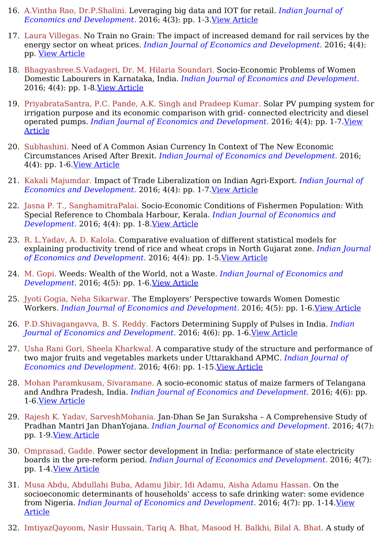- 16. A.Vintha Rao, Dr.P.Shalini. Leveraging big data and IOT for retail. *Indian Journal of Economics and Development.* 2016; 4(3): pp. 1-3.View [Article](https://ijed.in/articles/leveraging-big-data-and-iot-for-retail)
- 17. Laura Villegas. No Train no Grain: The impact of increased demand for rail services by the energy sector on wheat prices. *Indian Journal of Economics and Development.* 2016; 4(4): pp. View [Article](https://ijed.in/articles/no-train-no-grain-the-impact-of-increased-demand-for-rail-services-by-the-energy-sector-on-wheat-prices)
- 18. Bhagyashree.S.Vadageri, Dr. M. Hilaria Soundari. Socio-Economic Problems of Women Domestic Labourers in Karnataka, India. *Indian Journal of Economics and Development.* 2016; 4(4): pp. 1-8.View [Article](https://ijed.in/articles/socio-economic-problems-of-women-domestic-labourers-in-karnataka-india)
- 19. PriyabrataSantra, P.C. Pande, A.K. Singh and Pradeep Kumar. Solar PV pumping system for irrigation purpose and its economic comparison with grid- connected electricity and diesel operated pumps. *Indian Journal of Economics and [Development.](https://ijed.in/articles/solar-pv-pumping-system-for-irrigation-purpose-and-its-economic-comparison-with-grid-connected-electricity-and-diesel-operated-pumps)* 2016; 4(4): pp. 1-7.View Article
- 20. Subhashini. Need of A Common Asian Currency In Context of The New Economic Circumstances Arised After Brexit. *Indian Journal of Economics and Development.* 2016; 4(4): pp. 1-6.View [Article](https://ijed.in/articles/need-of-a-common-asian-currency-in-context-of-the-new-economic-circumstances-arised-after-brexit)
- 21. Kakali Majumdar. Impact of Trade Liberalization on Indian Agri-Export. *Indian Journal of Economics and Development.* 2016; 4(4): pp. 1-7.View [Article](https://ijed.in/articles/impact-of-trade-liberalization-on-indian-agri-export)
- 22. Jasna P. T., SanghamitraPalai. Socio-Economic Conditions of Fishermen Population: With Special Reference to Chombala Harbour, Kerala. *Indian Journal of Economics and Development.* 2016; 4(4): pp. 1-8.View [Article](https://ijed.in/articles/socio-economic-conditions-of-fishermen-population-with-special-reference-to-chombala-harbour-kerala)
- 23. R. L.Yadav, A. D. Kalola. Comparative evaluation of different statistical models for explaining productivity trend of rice and wheat crops in North Gujarat zone. *Indian Journal of Economics and Development.* 2016; 4(4): pp. 1-5.View [Article](https://ijed.in/articles/comparative-evaluation-of-different-statistical-models-for-explaining-productivity-trend-of-rice-and-wheat-crops-in-north-gujarat-zone)
- 24. M. Gopi. Weeds: Wealth of the World, not a Waste. *Indian Journal of Economics and Development.* 2016; 4(5): pp. 1-6.View [Article](https://ijed.in/articles/weeds-wealth-of-the-world-not-a-waste)
- 25. Jyoti Gogia, Neha Sikarwar. The Employers' Perspective towards Women Domestic Workers. *Indian Journal of Economics and Development.* 2016; 4(5): pp. 1-6.View [Article](https://ijed.in/articles/the-employers-perspective-towards-women-domestic-workers)
- 26. P.D.Shivagangavva, B. S. Reddy. Factors Determining Supply of Pulses in India. *Indian Journal of Economics and Development.* 2016; 4(6): pp. 1-6.View [Article](https://ijed.in/articles/factors-determining-supply-of-pulses-in-india)
- 27. Usha Rani Gori, Sheela Kharkwal. A comparative study of the structure and performance of two major fruits and vegetables markets under Uttarakhand APMC. *Indian Journal of Economics and Development.* 2016; 4(6): pp. 1-15.View [Article](https://ijed.in/articles/a-comparative-study-of-the-structure-and-performance-of-two-major-fruits-and-vegetables-markets-under-uttarakhand-apmc)
- 28. Mohan Paramkusam, Sivaramane. A socio-economic status of maize farmers of Telangana and Andhra Pradesh, India. *Indian Journal of Economics and Development.* 2016; 4(6): pp. 1-6.View [Article](https://ijed.in/articles/a-socio-economic-status-of-maize-farmers-of-telangana-and-andhra-pradesh-india)
- 29. Rajesh K. Yadav, SarveshMohania. Jan-Dhan Se Jan Suraksha A Comprehensive Study of Pradhan Mantri Jan DhanYojana. *Indian Journal of Economics and Development.* 2016; 4(7): pp. 1-9.View [Article](https://ijed.in/articles/jan-dhan-se-jan-suraksha-a-comprehensive-study-of-pradhan-mantri-jan-dhanyojana)
- 30. Omprasad, Gadde. Power sector development in India: performance of state electricity boards in the pre-reform period. *Indian Journal of Economics and Development.* 2016; 4(7): pp. 1-4.View [Article](https://ijed.in/articles/power-sector-development-in-india-performance-of-state-electricity-boards-in-the-pre-reform-period)
- 31. Musa Abdu, Abdullahi Buba, Adamu Jibir, Idi Adamu, Aisha Adamu Hassan. On the socioeconomic determinants of households' access to safe drinking water: some evidence from Nigeria. *Indian Journal of Economics and [Development.](https://ijed.in/articles/on-the-socioeconomic-determinants-of-households-access-to-safe-drinking-water-some-evidence-from-nigeria)* 2016; 4(7): pp. 1-14.View Article
- 32. ImtiyazQayoom, Nasir Hussain, Tariq A. Bhat, Masood H. Balkhi, Bilal A. Bhat. A study of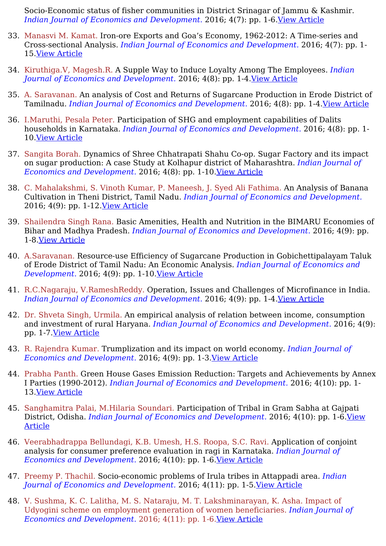Socio-Economic status of fisher communities in District Srinagar of Jammu & Kashmir. *Indian Journal of Economics and Development.* 2016; 4(7): pp. 1-6.View [Article](https://ijed.in/articles/a-study-of-socio-economic-status-of-fisher-communities-in-district-srinagar-of-jammu-kashmir)

- 33. Manasvi M. Kamat. Iron-ore Exports and Goa's Economy, 1962-2012: A Time-series and Cross-sectional Analysis. *Indian Journal of Economics and Development.* 2016; 4(7): pp. 1- 15.View [Article](https://ijed.in/articles/iron-ore-exports-and-goas-economy-1962-2012-a-time-series-and-cross-sectional-analysis)
- 34. Kiruthiga.V, Magesh.R. A Supple Way to Induce Loyalty Among The Employees. *Indian Journal of Economics and Development.* 2016; 4(8): pp. 1-4.View [Article](https://ijed.in/articles/a-supple-way-to-induce-loyalty-among-the-employees)
- 35. A. Saravanan. An analysis of Cost and Returns of Sugarcane Production in Erode District of Tamilnadu. *Indian Journal of Economics and Development.* 2016; 4(8): pp. 1-4.View [Article](https://ijed.in/articles/an-analysis-of-cost-and-returns-of-sugarcane-production-in-erode-district-of-tamilnadu)
- 36. I.Maruthi, Pesala Peter. Participation of SHG and employment capabilities of Dalits households in Karnataka. *Indian Journal of Economics and Development.* 2016; 4(8): pp. 1- 10.View [Article](https://ijed.in/articles/participation-of-shg-and-employment-capabilities-of-dalits-households-in-karnataka)
- 37. Sangita Borah. Dynamics of Shree Chhatrapati Shahu Co-op. Sugar Factory and its impact on sugar production: A case Study at Kolhapur district of Maharashtra. *Indian Journal of Economics and Development.* 2016; 4(8): pp. 1-10.View [Article](https://ijed.in/articles/dynamics-of-shree-chhatrapati-shahu-co-op-sugar-factory-and-its-impact-on-sugar-production-a-case-study-at-kolhapur-district-of-maharashtra)
- 38. C. Mahalakshmi, S. Vinoth Kumar, P. Maneesh, J. Syed Ali Fathima. An Analysis of Banana Cultivation in Theni District, Tamil Nadu. *Indian Journal of Economics and Development.* 2016; 4(9): pp. 1-12.View [Article](https://ijed.in/articles/an-analysis-of-banana-cultivation-in-theni-district-tamil-nadu)
- 39. Shailendra Singh Rana. Basic Amenities, Health and Nutrition in the BIMARU Economies of Bihar and Madhya Pradesh. *Indian Journal of Economics and Development.* 2016; 4(9): pp. 1-8.View [Article](https://ijed.in/articles/basic-amenities-health-and-nutrition-in-the-bimaru-economies-of-bihar-and-madhya-pradesh)
- 40. A.Saravanan. Resource-use Efficiency of Sugarcane Production in Gobichettipalayam Taluk of Erode District of Tamil Nadu: An Economic Analysis. *Indian Journal of Economics and Development.* 2016; 4(9): pp. 1-10.View [Article](https://ijed.in/articles/resource-use-efficiency-of-sugarcane-production-in-gobichettipalayam-taluk-of-erode-district-of-tamil-nadu-an-economic-analysis)
- 41. R.C.Nagaraju, V.RameshReddy. Operation, Issues and Challenges of Microfinance in India. *Indian Journal of Economics and Development.* 2016; 4(9): pp. 1-4.View [Article](https://ijed.in/articles/operation-issues-and-challenges-of-microfinance-in-india)
- 42. Dr. Shveta Singh, Urmila. An empirical analysis of relation between income, consumption and investment of rural Haryana. *Indian Journal of Economics and Development.* 2016; 4(9): pp. 1-7.View [Article](https://ijed.in/articles/an-empirical-analysis-of-relation-between-income-consumption-and-investment-of-rural-haryana)
- 43. R. Rajendra Kumar. Trumplization and its impact on world economy. *Indian Journal of Economics and Development.* 2016; 4(9): pp. 1-3.View [Article](https://ijed.in/articles/trumplization-and-its-impact-on-world-economy)
- 44. Prabha Panth. Green House Gases Emission Reduction: Targets and Achievements by Annex I Parties (1990-2012). *Indian Journal of Economics and Development.* 2016; 4(10): pp. 1- 13.View [Article](https://ijed.in/articles/green-house-gases-emission-reduction-targets-and-achievements-by-annex-i-parties-1990-2012)
- 45. Sanghamitra Palai, M.Hilaria Soundari. Participation of Tribal in Gram Sabha at Gajpati District, Odisha. *Indian Journal of Economics and [Development.](https://ijed.in/articles/participation-of-tribal-in-gram-sabha-at-gajpati-district-odisha)* 2016; 4(10): pp. 1-6.View Article
- 46. Veerabhadrappa Bellundagi, K.B. Umesh, H.S. Roopa, S.C. Ravi. Application of conjoint analysis for consumer preference evaluation in ragi in Karnataka. *Indian Journal of Economics and Development.* 2016; 4(10): pp. 1-6.View [Article](https://ijed.in/articles/application-of-conjoint-analysis-for-consumer-preference-evaluation-in-ragi-in-karnataka)
- 47. Preemy P. Thachil. Socio-economic problems of Irula tribes in Attappadi area. *Indian Journal of Economics and Development.* 2016; 4(11): pp. 1-5.View [Article](https://ijed.in/articles/socio-economic-problems-of-irula-tribes-in-attappadi-area)
- 48. V. Sushma, K. C. Lalitha, M. S. Nataraju, M. T. Lakshminarayan, K. Asha. Impact of Udyogini scheme on employment generation of women beneficiaries. *Indian Journal of Economics and Development.* 2016; 4(11): pp. 1-6.View [Article](https://ijed.in/articles/impact-of-udyogini-scheme-on-employment-generation-of-women-beneficiaries)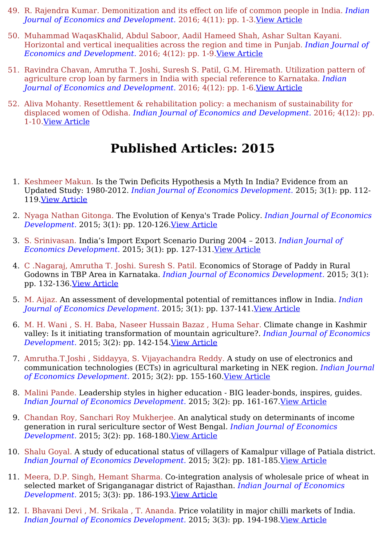- 49. R. Rajendra Kumar. Demonitization and its effect on life of common people in India. *Indian Journal of Economics and Development.* 2016; 4(11): pp. 1-3.View [Article](https://ijed.in/articles/demonitization-and-its-effect-on-life-of-common-people-in-india)
- 50. Muhammad WaqasKhalid, Abdul Saboor, Aadil Hameed Shah, Ashar Sultan Kayani. Horizontal and vertical inequalities across the region and time in Punjab. *Indian Journal of Economics and Development.* 2016; 4(12): pp. 1-9.View [Article](https://ijed.in/articles/horizontal-and-vertical-inequalities-across-the-region-and-time-in-punjab)
- 51. Ravindra Chavan, Amrutha T. Joshi, Suresh S. Patil, G.M. Hiremath. Utilization pattern of agriculture crop loan by farmers in India with special reference to Karnataka. *Indian Journal of Economics and Development.* 2016; 4(12): pp. 1-6.View [Article](https://ijed.in/articles/utilization-pattern-of-agriculture-crop-loan-by-farmers-in-india-with-special-reference-to-karnataka)
- 52. Aliva Mohanty. Resettlement & rehabilitation policy: a mechanism of sustainability for displaced women of Odisha. *Indian Journal of Economics and Development.* 2016; 4(12): pp. 1-10.View [Article](https://ijed.in/articles/resettlement-rehabilitation-policy-a-mechanism-of-sustainability-for-displaced-women-of-odisha)

- 1. Keshmeer Makun. Is the Twin Deficits Hypothesis a Myth In India? Evidence from an Updated Study: 1980-2012. *Indian Journal of Economics Development.* 2015; 3(1): pp. 112- 119.View [Article](https://ijed.in/articles/is-the-twin-deficits-hypothesis-a-myth-in-india-evidence-from-an-updated-study-1980-2012)
- 2. Nyaga Nathan Gitonga. The Evolution of Kenya's Trade Policy. *Indian Journal of Economics Development.* 2015; 3(1): pp. 120-126.View [Article](https://ijed.in/articles/the-evolution-of-kenyas-trade-policy)
- 3. S. Srinivasan. India's Import Export Scenario During 2004 2013. *Indian Journal of Economics Development.* 2015; 3(1): pp. 127-131.View [Article](https://ijed.in/articles/indias-import-export-scenario-during-2004-2013)
- 4. C .Nagaraj, Amrutha T. Joshi. Suresh S. Patil. Economics of Storage of Paddy in Rural Godowns in TBP Area in Karnataka. *Indian Journal of Economics Development.* 2015; 3(1): pp. 132-136.View [Article](https://ijed.in/articles/economics-of-storage-of-paddy-in-rural-godowns-in-tbp-area-in-karnataka)
- 5. M. Aijaz. An assessment of developmental potential of remittances inflow in India. *Indian Journal of Economics Development.* 2015; 3(1): pp. 137-141.View [Article](https://ijed.in/articles/an-assessment-of-developmental-potential-of-remittances-inflow-in-india)
- 6. M. H. Wani , S. H. Baba, Naseer Hussain Bazaz , Huma Sehar. Climate change in Kashmir valley: Is it initiating transformation of mountain agriculture?. *Indian Journal of Economics Development.* 2015; 3(2): pp. 142-154.View [Article](https://ijed.in/articles/climate-change-in-kashmir-valley-is-it-initiating-transformation-of-mountain-agriculture)
- 7. Amrutha.T.Joshi , Siddayya, S. Vijayachandra Reddy. A study on use of electronics and communication technologies (ECTs) in agricultural marketing in NEK region. *Indian Journal of Economics Development.* 2015; 3(2): pp. 155-160.View [Article](https://ijed.in/articles/a-study-on-use-of-electronics-and-communication-technologies-ects-in-agricultural-marketing-in-nek-regiona)
- 8. Malini Pande. Leadership styles in higher education BIG leader-bonds, inspires, guides. *Indian Journal of Economics Development.* 2015; 3(2): pp. 161-167.View [Article](https://ijed.in/articles/leadership-styles-in-higher-education-big-leader-bonds-inspires-guides)
- 9. Chandan Roy, Sanchari Roy Mukherjee. An analytical study on determinants of income generation in rural sericulture sector of West Bengal. *Indian Journal of Economics Development.* 2015; 3(2): pp. 168-180.View [Article](https://ijed.in/articles/an-analytical-study-on-determinants-of-income-generation-in-rural-sericulture-sector-of-west-bengal)
- 10. Shalu Goyal. A study of educational status of villagers of Kamalpur village of Patiala district. *Indian Journal of Economics Development.* 2015; 3(2): pp. 181-185.View [Article](https://ijed.in/articles/a-study-of-educational-status-of-villagers-of-kamalpur-village-of-patiala-district)
- 11. Meera, D.P. Singh, Hemant Sharma. Co-integration analysis of wholesale price of wheat in selected market of Sriganganagar district of Rajasthan. *Indian Journal of Economics Development.* 2015; 3(3): pp. 186-193.View [Article](https://ijed.in/articles/co-integration-analysis-of-wholesale-price-of-wheat-in-selected-market-of-sriganganagar-district-of-rajasthan)
- 12. I. Bhavani Devi , M. Srikala , T. Ananda. Price volatility in major chilli markets of India. *Indian Journal of Economics Development.* 2015; 3(3): pp. 194-198.View [Article](https://ijed.in/articles/price-volatility-in-major-chilli-markets-of-india)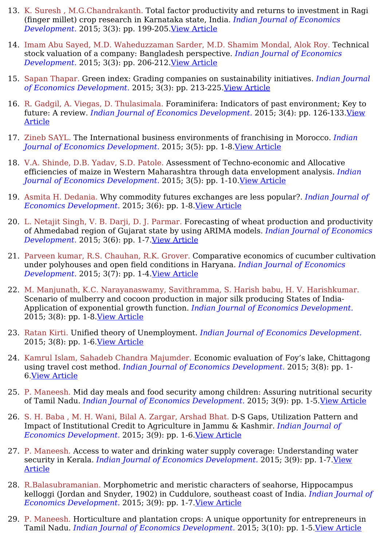- 13. K. Suresh , M.G.Chandrakanth. Total factor productivity and returns to investment in Ragi (finger millet) crop research in Karnataka state, India. *Indian Journal of Economics Development.* 2015; 3(3): pp. 199-205.View [Article](https://ijed.in/articles/total-factor-productivity-and-returns-to-investment-in-ragi-finger-millet-crop-research-in-karnataka-state-india)
- 14. Imam Abu Sayed, M.D. Waheduzzaman Sarder, M.D. Shamim Mondal, Alok Roy. Technical stock valuation of a company: Bangladesh perspective. *Indian Journal of Economics Development.* 2015; 3(3): pp. 206-212.View [Article](https://ijed.in/articles/technical-stock-valuation-of-a-company-bangladesh-perspective)
- 15. Sapan Thapar. Green index: Grading companies on sustainability initiatives. *Indian Journal of Economics Development.* 2015; 3(3): pp. 213-225.View [Article](https://ijed.in/articles/green-index-grading-companies-on-sustainability-initiatives)
- 16. R. Gadgil, A. Viegas, D. Thulasimala. Foraminifera: Indicators of past environment; Key to future: A review. *Indian Journal of Economics [Development.](https://ijed.in/articles/foraminifera-indicators-of-past-environment-key-to-future-a-review)* 2015; 3(4): pp. 126-133.View Article
- 17. Zineb SAYL. The International business environments of franchising in Morocco. *Indian Journal of Economics Development.* 2015; 3(5): pp. 1-8.View [Article](https://ijed.in/articles/the-international-business-environments-of-franchising-in-morocco)
- 18. V.A. Shinde, D.B. Yadav, S.D. Patole. Assessment of Techno-economic and Allocative efficiencies of maize in Western Maharashtra through data envelopment analysis. *Indian Journal of Economics Development.* 2015; 3(5): pp. 1-10.View [Article](https://ijed.in/articles/assessment-of-techno-economic-and-allocative-efficiencies-of-maize-in-western-maharashtra-through-data-envelopment-analysis)
- 19. Asmita H. Dedania. Why commodity futures exchanges are less popular?. *Indian Journal of Economics Development.* 2015; 3(6): pp. 1-8.View [Article](https://ijed.in/articles/why-commodity-futures-exchanges-are-less-popular)
- 20. L. Netajit Singh, V. B. Darji, D. J. Parmar. Forecasting of wheat production and productivity of Ahmedabad region of Gujarat state by using ARIMA models. *Indian Journal of Economics Development.* 2015; 3(6): pp. 1-7.View [Article](https://ijed.in/articles/forecasting-of-wheat-production-and-productivity-of-ahmedabad-region-of-gujarat-state-by-using-arima-models)
- 21. Parveen kumar, R.S. Chauhan, R.K. Grover. Comparative economics of cucumber cultivation under polyhouses and open field conditions in Haryana. *Indian Journal of Economics Development.* 2015; 3(7): pp. 1-4.View [Article](https://ijed.in/articles/comparative-economics-of-cucumber-cultivation-under-polyhouses-and-open-field-conditions-in-haryana)
- 22. M. Manjunath, K.C. Narayanaswamy, Savithramma, S. Harish babu, H. V. Harishkumar. Scenario of mulberry and cocoon production in major silk producing States of India-Application of exponential growth function. *Indian Journal of Economics Development.* 2015; 3(8): pp. 1-8.View [Article](https://ijed.in/articles/scenario-of-mulberry-and-cocoon-production-in-major-silk-producing-states-of-india-application-of-exponential-growth-function)
- 23. Ratan Kirti. Unified theory of Unemployment. *Indian Journal of Economics Development.* 2015; 3(8): pp. 1-6.View [Article](https://ijed.in/articles/unified-theory-of-unemployment)
- 24. Kamrul Islam, Sahadeb Chandra Majumder. Economic evaluation of Foy's lake, Chittagong using travel cost method. *Indian Journal of Economics Development.* 2015; 3(8): pp. 1- 6.View [Article](https://ijed.in/articles/economic-evaluation-of-foys-lake-chittagong-using-travel-cost-method)
- 25. P. Maneesh. Mid day meals and food security among children: Assuring nutritional security of Tamil Nadu. *Indian Journal of Economics Development.* 2015; 3(9): pp. 1-5.View [Article](https://ijed.in/articles/mid-day-meals-and-food-security-among-children-assuring-nutritional-security-of-tamil-nadu)
- 26. S. H. Baba , M. H. Wani, Bilal A. Zargar, Arshad Bhat. D-S Gaps, Utilization Pattern and Impact of Institutional Credit to Agriculture in Jammu & Kashmir. *Indian Journal of Economics Development.* 2015; 3(9): pp. 1-6.View [Article](https://ijed.in/articles/d-s-gaps-utilization-pattern-and-impact-of-institutional-credit-to-agriculture-in-jammu-kashmir)
- 27. P. Maneesh. Access to water and drinking water supply coverage: Understanding water security in Kerala. *Indian Journal of Economics [Development.](https://ijed.in/articles/access-to-water-and-drinking-water-supply-coverage-understanding-water-security-in-kerala)* 2015; 3(9): pp. 1-7.View Article
- 28. R.Balasubramanian. Morphometric and meristic characters of seahorse, Hippocampus kelloggi (Jordan and Snyder, 1902) in Cuddulore, southeast coast of India. *Indian Journal of Economics Development.* 2015; 3(9): pp. 1-7.View [Article](https://ijed.in/articles/morphometric-and-meristic-characters-of-seahorse-hippocampus-kelloggi-jordan-and-snyder-1902-in-cuddulore-southeast-coast-of-india)
- 29. P. Maneesh. Horticulture and plantation crops: A unique opportunity for entrepreneurs in Tamil Nadu. *Indian Journal of Economics Development.* 2015; 3(10): pp. 1-5.View [Article](https://ijed.in/articles/horticulture-and-plantation-crops-a-unique-opportunity-for-entrepreneurs-in-tamil-nadu)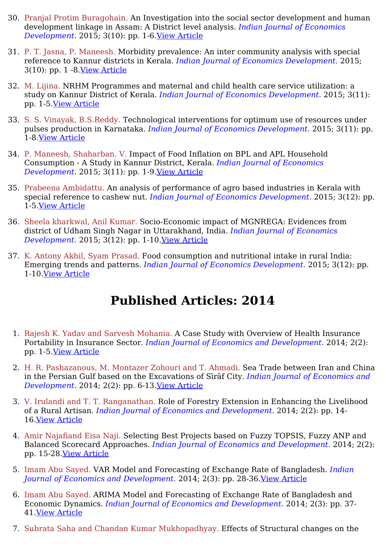- 30. Pranjal Protim Buragohain. An Investigation into the social sector development and human development linkage in Assam: A District level analysis. *Indian Journal of Economics Development.* 2015; 3(10): pp. 1-6.View [Article](https://ijed.in/articles/an-investigation-into-the-social-sector-development-and-human-development-linkage-in-assam-a-district-level-analysis)
- 31. P. T. Jasna, P. Maneesh. Morbidity prevalence: An inter community analysis with special reference to Kannur districts in Kerala. *Indian Journal of Economics Development.* 2015; 3(10): pp. 1 -8.View [Article](https://ijed.in/articles/morbidity-prevalence-an-inter-community-analysis-with-special-reference-to-kannur-districts-in-kerala)
- 32. M. Lijina. NRHM Programmes and maternal and child health care service utilization: a study on Kannur District of Kerala. *Indian Journal of Economics Development.* 2015; 3(11): pp. 1-5.View [Article](https://ijed.in/articles/nrhm-programmes-and-maternal-and-child-health-care-service-utilization-a-study-on-kannur-district-of-kerala)
- 33. S. S. Vinayak, B.S.Reddy. Technological interventions for optimum use of resources under pulses production in Karnataka. *Indian Journal of Economics Development.* 2015; 3(11): pp. 1-8.View [Article](https://ijed.in/articles/technological-interventions-for-optimum-use-of-resources-under-pulses-production-in-karnataka)
- 34. P. Maneesh, Shaharban. V. Impact of Food Inflation on BPL and APL Household Consumption - A Study in Kannur District, Kerala. *Indian Journal of Economics Development.* 2015; 3(11): pp. 1-9.View [Article](https://ijed.in/articles/impact-of-food-inflation-on-bpl-and-apl-household-consumption-a-study-in-kannur-district-kerala)
- 35. Prabeena Ambidattu. An analysis of performance of agro based industries in Kerala with special reference to cashew nut. *Indian Journal of Economics Development.* 2015; 3(12): pp. 1-5.View [Article](https://ijed.in/articles/an-analysis-of-performance-of-agro-based-industries-in-kerala-with-special-reference-to-cashew-nut)
- 36. Sheela kharkwal, Anil Kumar. Socio-Economic impact of MGNREGA: Evidences from district of Udham Singh Nagar in Uttarakhand, India. *Indian Journal of Economics Development.* 2015; 3(12): pp. 1-10.View [Article](https://ijed.in/articles/socio-economic-impact-of-mgnrega-evidences-from-district-of-udham-singh-nagar-in-uttarakhand-india)
- 37. K. Antony Akhil, Syam Prasad. Food consumption and nutritional intake in rural India: Emerging trends and patterns. *Indian Journal of Economics Development.* 2015; 3(12): pp. 1-10.View [Article](https://ijed.in/articles/food-consumption-and-nutritional-intake-in-rural-india-emerging-trends-and-patterns)

- 1. Rajesh K. Yadav and Sarvesh Mohania. A Case Study with Overview of Health Insurance Portability in Insurance Sector. *Indian Journal of Economics and Development.* 2014; 2(2): pp. 1-5.View [Article](https://ijed.in/articles/a-case-study-with-overview-of-health-insurance-portability-in-insurance-sector)
- 2. H. R. Pashazanous, M. Montazer Zohouri and T. Ahmadi. Sea Trade between Iran and China in the Persian Gulf based on the Excavations of Sīrāf City. *Indian Journal of Economics and Development.* 2014; 2(2): pp. 6-13.View [Article](https://ijed.in/articles/sea-trade-between-iran-and-china-in-the-persian-gulf-based-on-the-excavations-of-srf-city)
- 3. V. Irulandi and T. T. Ranganathan. Role of Forestry Extension in Enhancing the Livelihood of a Rural Artisan. *Indian Journal of Economics and Development.* 2014; 2(2): pp. 14- 16.View [Article](https://ijed.in/articles/role-of-forestry-extension-in-enhancing-the-livelihood-of-a-rural-artisan)
- 4. Amir Najafiand Eisa Naji. Selecting Best Projects based on Fuzzy TOPSIS, Fuzzy ANP and Balanced Scorecard Approaches. *Indian Journal of Economics and Development.* 2014; 2(2): pp. 15-28.View [Article](https://ijed.in/articles/selecting-best-projects-based-on-fuzzy-topsis-fuzzy-anp-and-balanced-scorecard-approaches)
- 5. Imam Abu Sayed. VAR Model and Forecasting of Exchange Rate of Bangladesh. *Indian Journal of Economics and Development.* 2014; 2(3): pp. 28-36.View [Article](https://ijed.in/articles/var-model-and-forecasting-of-exchange-rate-of-bangladesh)
- 6. Imam Abu Sayed. ARIMA Model and Forecasting of Exchange Rate of Bangladesh and Economic Dynamics. *Indian Journal of Economics and Development.* 2014; 2(3): pp. 37- 41.View [Article](https://ijed.in/articles/arima-model-and-forecasting-of-exchange-rate-of-bangladesh-and-economic-dynamics)
- 7. Subrata Saha and Chandan Kumar Mukhopadhyay. Effects of Structural changes on the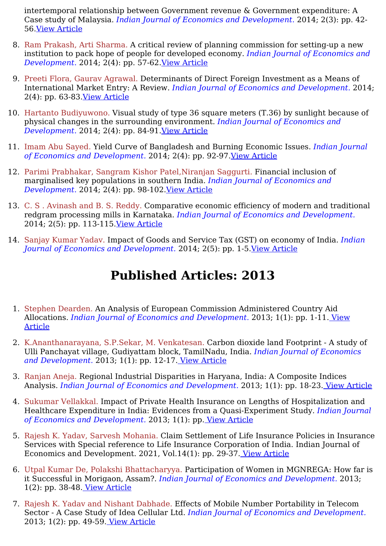intertemporal relationship between Government revenue & Government expenditure: A Case study of Malaysia. *Indian Journal of Economics and Development.* 2014; 2(3): pp. 42- 56.View [Article](https://ijed.in/articles/effects-of-structural-changes-on-the-intertemporal-relationship-between-government-revenue-government-expenditure-a-case-study-of-malaysia)

- 8. Ram Prakash, Arti Sharma. A critical review of planning commission for setting-up a new institution to pack hope of people for developed economy. *Indian Journal of Economics and Development.* 2014; 2(4): pp. 57-62.View [Article](https://ijed.in/articles/a-critical-review-of-planning-commission-for-setting-up-a-new-institution-to-pack-hope-of-people-for-developed-economy)
- 9. Preeti Flora, Gaurav Agrawal. Determinants of Direct Foreign Investment as a Means of International Market Entry: A Review. *Indian Journal of Economics and Development.* 2014; 2(4): pp. 63-83.View [Article](https://ijed.in/articles/determinants-of-direct-foreign-investment-as-a-means-of-international-market-entry-a-review)
- 10. Hartanto Budiyuwono. Visual study of type 36 square meters (T.36) by sunlight because of physical changes in the surrounding environment. *Indian Journal of Economics and Development.* 2014; 2(4): pp. 84-91.View [Article](https://ijed.in/articles/visual-study-of-type-36-square-meters-t36-by-sunlight-because-of-physical-changes-in-the-surrounding-environment)
- 11. Imam Abu Sayed. Yield Curve of Bangladesh and Burning Economic Issues. *Indian Journal of Economics and Development.* 2014; 2(4): pp. 92-97.View [Article](https://ijed.in/articles/yield-curve-of-bangladesh-and-burning-economic-issues)
- 12. Parimi Prabhakar, Sangram Kishor Patel,Niranjan Saggurti. Financial inclusion of marginalised key populations in southern India. *Indian Journal of Economics and Development.* 2014; 2(4): pp. 98-102.View [Article](https://ijed.in/articles/financial-inclusion-of-marginalised-key-populations-in-southern-india)
- 13. C. S . Avinash and B. S. Reddy. Comparative economic efficiency of modern and traditional redgram processing mills in Karnataka. *Indian Journal of Economics and Development.* 2014; 2(5): pp. 113-115.View [Article](https://ijed.in/articles/comparative-economic-efficiency-of-modern-and-traditional-redgram-processing-mills-in-karnataka)
- 14. Sanjay Kumar Yadav. Impact of Goods and Service Tax (GST) on economy of India. *Indian Journal of Economics and Development.* 2014; 2(5): pp. 1-5.View [Article](https://ijed.in/articles/impact-of-goods-and-service-tax-gst-on-economy-of-india)

- 1. Stephen Dearden. An Analysis of European Commission Administered Country Aid Allocations. *Indian Journal of Economics and [Development.](https://ijed.in/articles/an-analysis-of-european-commission-administered-country-aid-allocations)* 2013; 1(1): pp. 1-11. View Article
- 2. K.Ananthanarayana, S.P.Sekar, M. Venkatesan. Carbon dioxide land Footprint A study of Ulli Panchayat village, Gudiyattam block, TamilNadu, India. *Indian Journal of Economics and Development.* 2013; 1(1): pp. 12-17. View [Article](https://ijed.in/articles/carbon-dioxide-land-footprint-a-study-of-ulli-panchayat-village-gudiyattam-block-tamilnadu-india)
- 3. Ranjan Aneja. Regional Industrial Disparities in Haryana, India: A Composite Indices Analysis. *Indian Journal of Economics and Development.* 2013; 1(1): pp. 18-23. View [Article](https://ijed.in/articles/regional-industrial-disparities-in-haryana-india-a-composite-indices-analysis)
- 4. Sukumar Vellakkal. Impact of Private Health Insurance on Lengths of Hospitalization and Healthcare Expenditure in India: Evidences from a Quasi-Experiment Study. *Indian Journal of Economics and Development.* 2013; 1(1): pp. View [Article](https://ijed.in/articles/impact-of-private-health-insurance-on-lengths-of-hospitalization-and-healthcare-expenditure-in-india-evidences-from-a-quasi-experiment-study)
- 5. Rajesh K. Yadav, Sarvesh Mohania. Claim Settlement of Life Insurance Policies in Insurance Services with Special reference to Life Insurance Corporation of India. Indian Journal of Economics and Development. 2021, Vol.14(1): pp. 29-37. View [Article](https://ijed.in/articles/claim-settlement-of-life-insurance-policies-in-insurance-services-with-special-reference-to-life-insurance-corporation-of-india)
- 6. Utpal Kumar De, Polakshi Bhattacharyya. Participation of Women in MGNREGA: How far is it Successful in Morigaon, Assam?. *Indian Journal of Economics and Development.* 2013; 1(2): pp. 38-48. View [Article](https://ijed.in/articles/participation-of-women-in-mgnrega-how-far-is-it-successful-in-morigaon-assam)
- 7. Rajesh K. Yadav and Nishant Dabhade. Effects of Mobile Number Portability in Telecom Sector - A Case Study of Idea Cellular Ltd. *Indian Journal of Economics and Development.* 2013; 1(2): pp. 49-59. View [Article](https://ijed.in/articles/effects-of-mobile-number-portability-in-telecom-sector-a-case-study-of-idea-cellular-ltd)